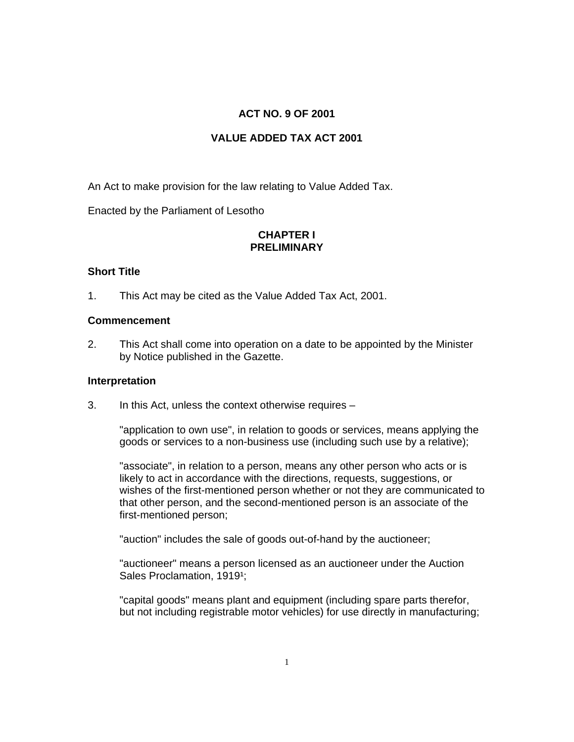# **ACT NO. 9 OF 2001**

# **VALUE ADDED TAX ACT 2001**

An Act to make provision for the law relating to Value Added Tax.

Enacted by the Parliament of Lesotho

# **CHAPTER I PRELIMINARY**

# **Short Title**

1. This Act may be cited as the Value Added Tax Act, 2001.

# **Commencement**

2. This Act shall come into operation on a date to be appointed by the Minister by Notice published in the Gazette.

# **Interpretation**

3. In this Act, unless the context otherwise requires –

"application to own use", in relation to goods or services, means applying the goods or services to a non-business use (including such use by a relative);

"associate", in relation to a person, means any other person who acts or is likely to act in accordance with the directions, requests, suggestions, or wishes of the first-mentioned person whether or not they are communicated to that other person, and the second-mentioned person is an associate of the first-mentioned person;

"auction" includes the sale of goods out-of-hand by the auctioneer;

"auctioneer" means a person licensed as an auctioneer under the Auction Sales Proclamation, 1919<sup>1</sup>;

"capital goods" means plant and equipment (including spare parts therefor, but not including registrable motor vehicles) for use directly in manufacturing;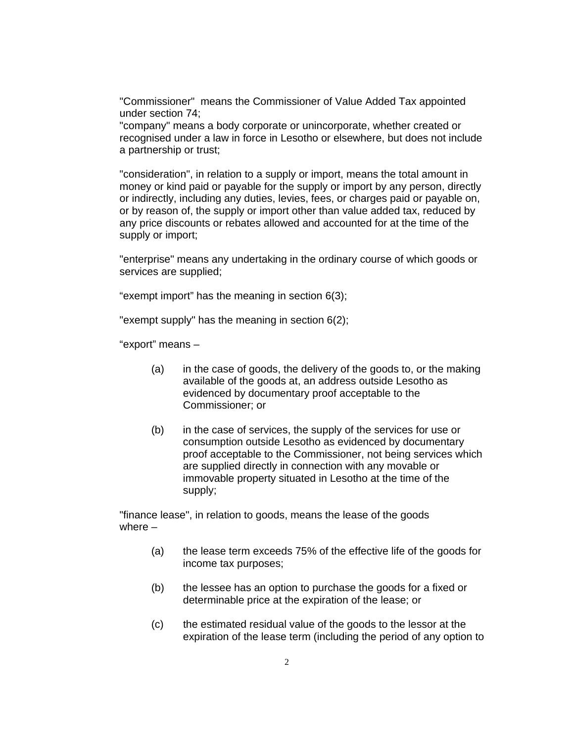"Commissioner" means the Commissioner of Value Added Tax appointed under section 74;

"company" means a body corporate or unincorporate, whether created or recognised under a law in force in Lesotho or elsewhere, but does not include a partnership or trust;

"consideration", in relation to a supply or import, means the total amount in money or kind paid or payable for the supply or import by any person, directly or indirectly, including any duties, levies, fees, or charges paid or payable on, or by reason of, the supply or import other than value added tax, reduced by any price discounts or rebates allowed and accounted for at the time of the supply or import;

"enterprise" means any undertaking in the ordinary course of which goods or services are supplied;

"exempt import" has the meaning in section 6(3);

"exempt supply" has the meaning in section 6(2);

"export" means –

- (a) in the case of goods, the delivery of the goods to, or the making available of the goods at, an address outside Lesotho as evidenced by documentary proof acceptable to the Commissioner; or
- (b) in the case of services, the supply of the services for use or consumption outside Lesotho as evidenced by documentary proof acceptable to the Commissioner, not being services which are supplied directly in connection with any movable or immovable property situated in Lesotho at the time of the supply;

"finance lease", in relation to goods, means the lease of the goods where –

- (a) the lease term exceeds 75% of the effective life of the goods for income tax purposes;
- (b) the lessee has an option to purchase the goods for a fixed or determinable price at the expiration of the lease; or
- (c) the estimated residual value of the goods to the lessor at the expiration of the lease term (including the period of any option to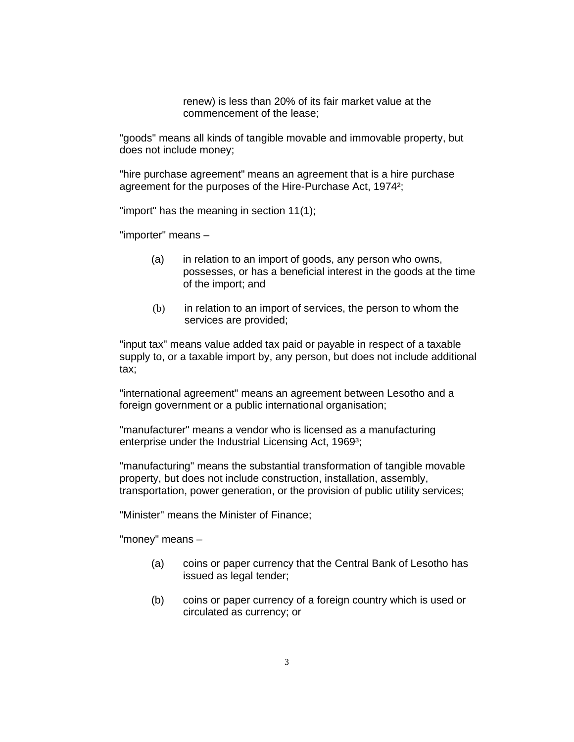renew) is less than 20% of its fair market value at the commencement of the lease;

"goods" means all kinds of tangible movable and immovable property, but does not include money;

"hire purchase agreement" means an agreement that is a hire purchase agreement for the purposes of the Hire-Purchase Act, 1974²;

"import" has the meaning in section 11(1);

"importer" means –

- (a) in relation to an import of goods, any person who owns, possesses, or has a beneficial interest in the goods at the time of the import; and
- (b) in relation to an import of services, the person to whom the services are provided;

"input tax" means value added tax paid or payable in respect of a taxable supply to, or a taxable import by, any person, but does not include additional tax;

"international agreement" means an agreement between Lesotho and a foreign government or a public international organisation;

"manufacturer" means a vendor who is licensed as a manufacturing enterprise under the Industrial Licensing Act, 1969<sup>3</sup>;

"manufacturing" means the substantial transformation of tangible movable property, but does not include construction, installation, assembly, transportation, power generation, or the provision of public utility services;

"Minister" means the Minister of Finance;

"money" means –

- (a) coins or paper currency that the Central Bank of Lesotho has issued as legal tender;
- (b) coins or paper currency of a foreign country which is used or circulated as currency; or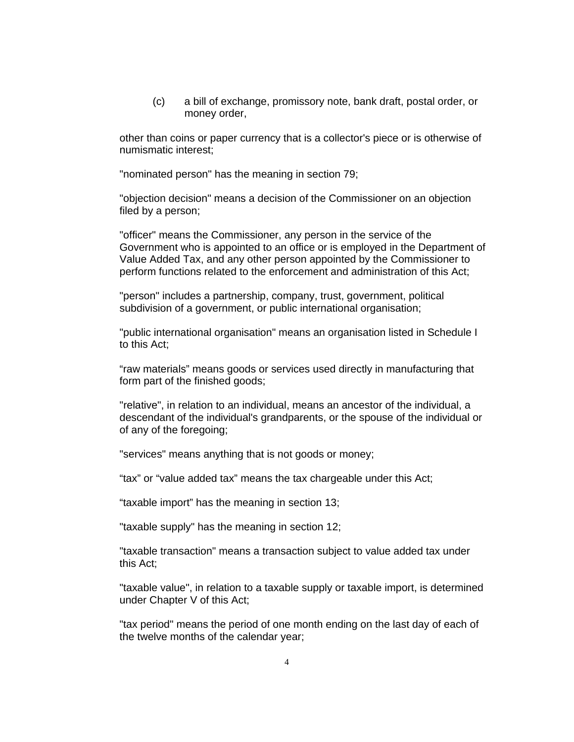(c) a bill of exchange, promissory note, bank draft, postal order, or money order,

other than coins or paper currency that is a collector's piece or is otherwise of numismatic interest;

"nominated person" has the meaning in section 79;

"objection decision" means a decision of the Commissioner on an objection filed by a person;

"officer" means the Commissioner, any person in the service of the Government who is appointed to an office or is employed in the Department of Value Added Tax, and any other person appointed by the Commissioner to perform functions related to the enforcement and administration of this Act;

"person" includes a partnership, company, trust, government, political subdivision of a government, or public international organisation;

"public international organisation" means an organisation listed in Schedule I to this Act;

"raw materials" means goods or services used directly in manufacturing that form part of the finished goods;

"relative", in relation to an individual, means an ancestor of the individual, a descendant of the individual's grandparents, or the spouse of the individual or of any of the foregoing;

"services" means anything that is not goods or money;

"tax" or "value added tax" means the tax chargeable under this Act;

"taxable import" has the meaning in section 13;

"taxable supply" has the meaning in section 12;

"taxable transaction" means a transaction subject to value added tax under this Act;

"taxable value", in relation to a taxable supply or taxable import, is determined under Chapter V of this Act;

"tax period" means the period of one month ending on the last day of each of the twelve months of the calendar year;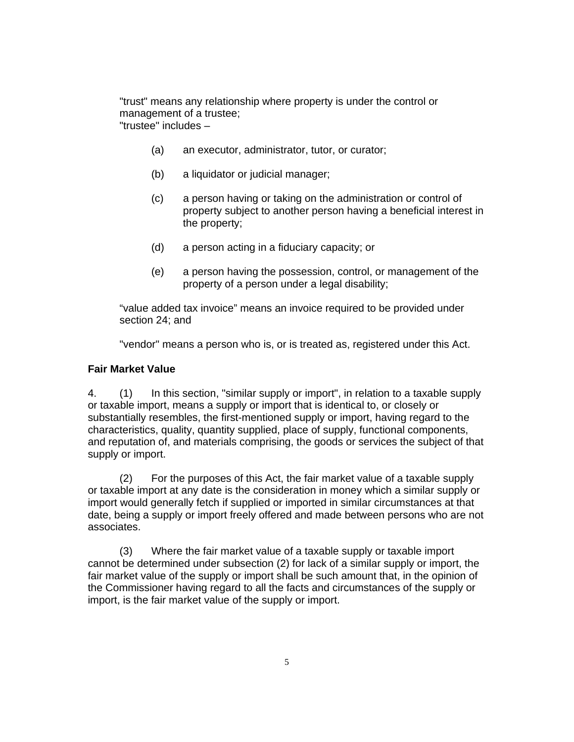"trust" means any relationship where property is under the control or management of a trustee; "trustee" includes –

- (a) an executor, administrator, tutor, or curator;
- (b) a liquidator or judicial manager;
- (c) a person having or taking on the administration or control of property subject to another person having a beneficial interest in the property;
- (d) a person acting in a fiduciary capacity; or
- (e) a person having the possession, control, or management of the property of a person under a legal disability;

"value added tax invoice" means an invoice required to be provided under section 24; and

"vendor" means a person who is, or is treated as, registered under this Act.

#### **Fair Market Value**

4. (1) In this section, "similar supply or import", in relation to a taxable supply or taxable import, means a supply or import that is identical to, or closely or substantially resembles, the first-mentioned supply or import, having regard to the characteristics, quality, quantity supplied, place of supply, functional components, and reputation of, and materials comprising, the goods or services the subject of that supply or import.

 (2) For the purposes of this Act, the fair market value of a taxable supply or taxable import at any date is the consideration in money which a similar supply or import would generally fetch if supplied or imported in similar circumstances at that date, being a supply or import freely offered and made between persons who are not associates.

 (3) Where the fair market value of a taxable supply or taxable import cannot be determined under subsection (2) for lack of a similar supply or import, the fair market value of the supply or import shall be such amount that, in the opinion of the Commissioner having regard to all the facts and circumstances of the supply or import, is the fair market value of the supply or import.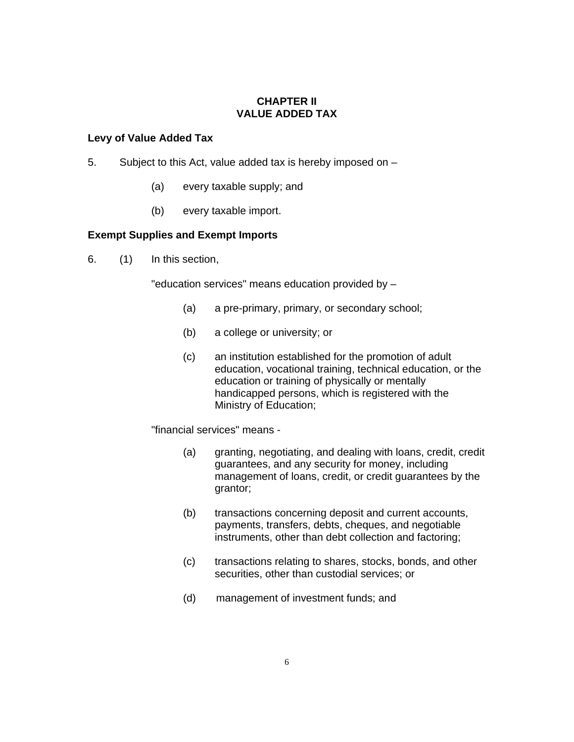# **CHAPTER II VALUE ADDED TAX**

# **Levy of Value Added Tax**

- 5. Subject to this Act, value added tax is hereby imposed on
	- (a) every taxable supply; and
	- (b) every taxable import.

# **Exempt Supplies and Exempt Imports**

6. (1) In this section,

"education services" means education provided by –

- (a) a pre-primary, primary, or secondary school;
- (b) a college or university; or
- (c) an institution established for the promotion of adult education, vocational training, technical education, or the education or training of physically or mentally handicapped persons, which is registered with the Ministry of Education;

"financial services" means -

- (a) granting, negotiating, and dealing with loans, credit, credit guarantees, and any security for money, including management of loans, credit, or credit guarantees by the grantor;
- (b) transactions concerning deposit and current accounts, payments, transfers, debts, cheques, and negotiable instruments, other than debt collection and factoring;
- (c) transactions relating to shares, stocks, bonds, and other securities, other than custodial services; or
- (d) management of investment funds; and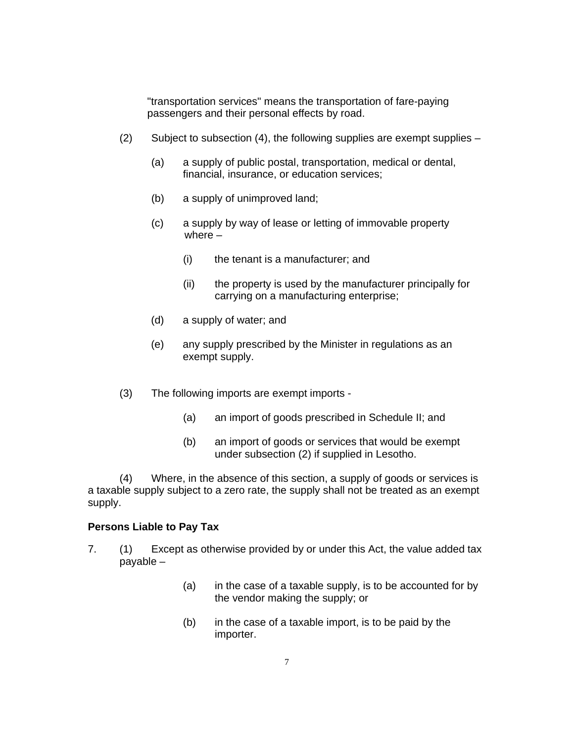"transportation services" means the transportation of fare-paying passengers and their personal effects by road.

- (2) Subject to subsection (4), the following supplies are exempt supplies
	- (a) a supply of public postal, transportation, medical or dental, financial, insurance, or education services;
	- (b) a supply of unimproved land;
	- (c) a supply by way of lease or letting of immovable property where –
		- (i) the tenant is a manufacturer; and
		- (ii) the property is used by the manufacturer principally for carrying on a manufacturing enterprise;
	- (d) a supply of water; and
	- (e) any supply prescribed by the Minister in regulations as an exempt supply.
- (3) The following imports are exempt imports
	- (a) an import of goods prescribed in Schedule II; and
	- (b) an import of goods or services that would be exempt under subsection (2) if supplied in Lesotho.

(4) Where, in the absence of this section, a supply of goods or services is a taxable supply subject to a zero rate, the supply shall not be treated as an exempt supply.

### **Persons Liable to Pay Tax**

- 7. (1) Except as otherwise provided by or under this Act, the value added tax payable –
	- (a) in the case of a taxable supply, is to be accounted for by the vendor making the supply; or
	- (b) in the case of a taxable import, is to be paid by the importer.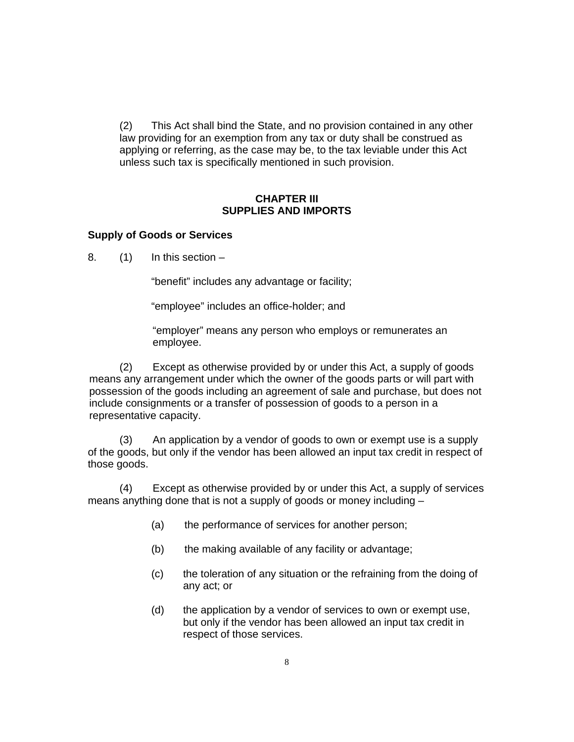(2) This Act shall bind the State, and no provision contained in any other law providing for an exemption from any tax or duty shall be construed as applying or referring, as the case may be, to the tax leviable under this Act unless such tax is specifically mentioned in such provision.

## **CHAPTER III SUPPLIES AND IMPORTS**

# **Supply of Goods or Services**

8.  $(1)$  In this section –

"benefit" includes any advantage or facility;

"employee" includes an office-holder; and

"employer" means any person who employs or remunerates an employee.

(2) Except as otherwise provided by or under this Act, a supply of goods means any arrangement under which the owner of the goods parts or will part with possession of the goods including an agreement of sale and purchase, but does not include consignments or a transfer of possession of goods to a person in a representative capacity.

(3) An application by a vendor of goods to own or exempt use is a supply of the goods, but only if the vendor has been allowed an input tax credit in respect of those goods.

(4) Except as otherwise provided by or under this Act, a supply of services means anything done that is not a supply of goods or money including –

- (a) the performance of services for another person;
- (b) the making available of any facility or advantage;
- (c) the toleration of any situation or the refraining from the doing of any act; or
- (d) the application by a vendor of services to own or exempt use, but only if the vendor has been allowed an input tax credit in respect of those services.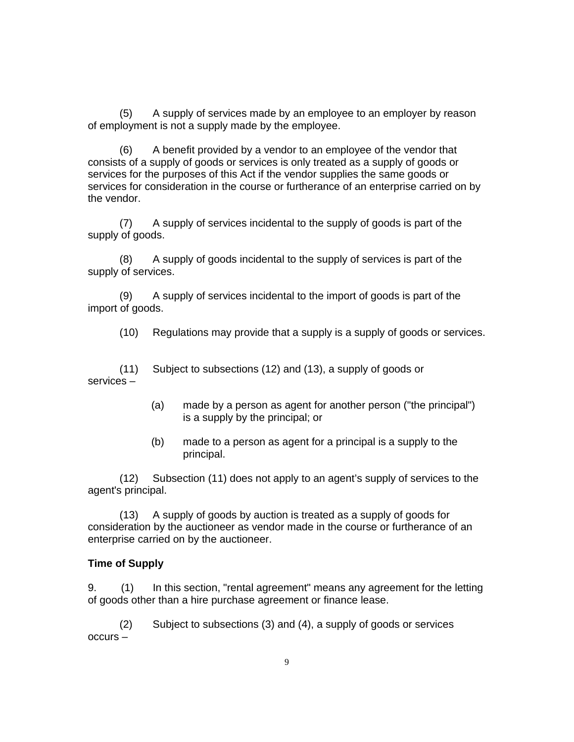(5) A supply of services made by an employee to an employer by reason of employment is not a supply made by the employee.

(6) A benefit provided by a vendor to an employee of the vendor that consists of a supply of goods or services is only treated as a supply of goods or services for the purposes of this Act if the vendor supplies the same goods or services for consideration in the course or furtherance of an enterprise carried on by the vendor.

(7) A supply of services incidental to the supply of goods is part of the supply of goods.

(8) A supply of goods incidental to the supply of services is part of the supply of services.

(9) A supply of services incidental to the import of goods is part of the import of goods.

(10) Regulations may provide that a supply is a supply of goods or services.

(11) Subject to subsections (12) and (13), a supply of goods or services –

- (a) made by a person as agent for another person ("the principal") is a supply by the principal; or
- (b) made to a person as agent for a principal is a supply to the principal.

(12) Subsection (11) does not apply to an agent's supply of services to the agent's principal.

(13) A supply of goods by auction is treated as a supply of goods for consideration by the auctioneer as vendor made in the course or furtherance of an enterprise carried on by the auctioneer.

### **Time of Supply**

9. (1) In this section, "rental agreement" means any agreement for the letting of goods other than a hire purchase agreement or finance lease.

(2) Subject to subsections (3) and (4), a supply of goods or services occurs –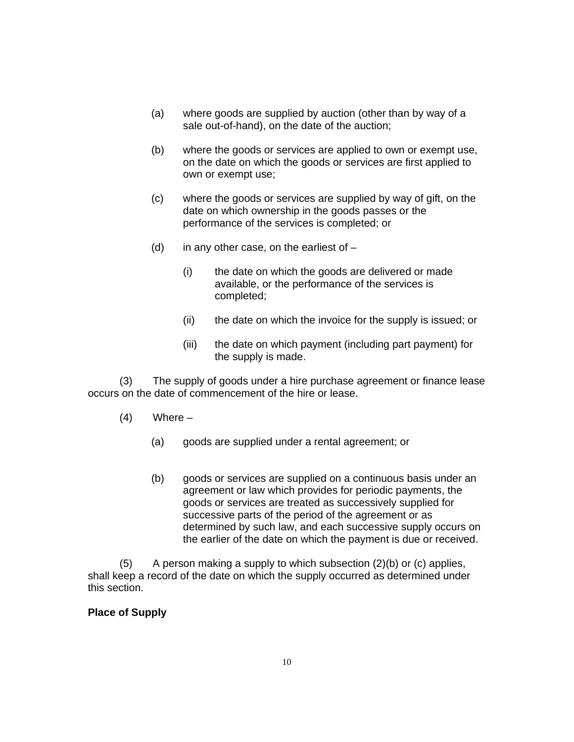- (a) where goods are supplied by auction (other than by way of a sale out-of-hand), on the date of the auction;
- (b) where the goods or services are applied to own or exempt use, on the date on which the goods or services are first applied to own or exempt use;
- (c) where the goods or services are supplied by way of gift, on the date on which ownership in the goods passes or the performance of the services is completed; or
- (d) in any other case, on the earliest of  $-$ 
	- (i) the date on which the goods are delivered or made available, or the performance of the services is completed;
	- (ii) the date on which the invoice for the supply is issued; or
	- (iii) the date on which payment (including part payment) for the supply is made.

(3) The supply of goods under a hire purchase agreement or finance lease occurs on the date of commencement of the hire or lease.

- $(4)$  Where
	- (a) goods are supplied under a rental agreement; or
	- (b) goods or services are supplied on a continuous basis under an agreement or law which provides for periodic payments, the goods or services are treated as successively supplied for successive parts of the period of the agreement or as determined by such law, and each successive supply occurs on the earlier of the date on which the payment is due or received.

 $(5)$  A person making a supply to which subsection  $(2)(b)$  or  $(c)$  applies, shall keep a record of the date on which the supply occurred as determined under this section.

## **Place of Supply**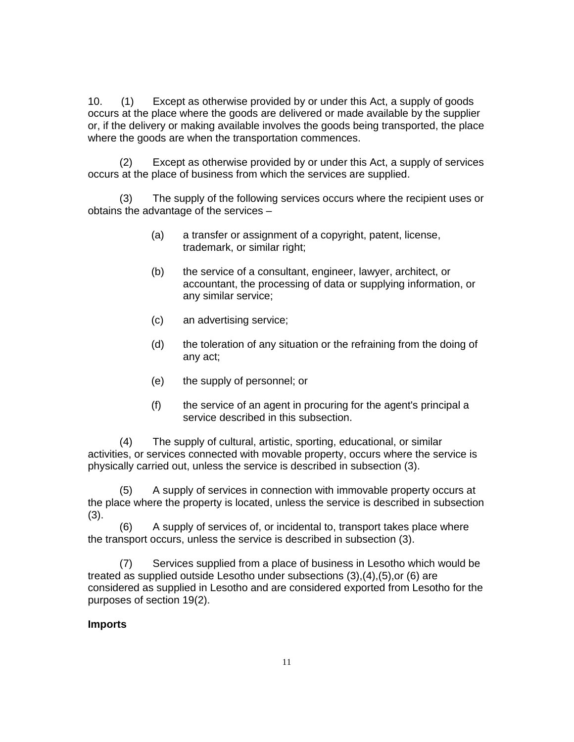10. (1) Except as otherwise provided by or under this Act, a supply of goods occurs at the place where the goods are delivered or made available by the supplier or, if the delivery or making available involves the goods being transported, the place where the goods are when the transportation commences.

(2) Except as otherwise provided by or under this Act, a supply of services occurs at the place of business from which the services are supplied.

(3) The supply of the following services occurs where the recipient uses or obtains the advantage of the services –

- (a) a transfer or assignment of a copyright, patent, license, trademark, or similar right;
- (b) the service of a consultant, engineer, lawyer, architect, or accountant, the processing of data or supplying information, or any similar service;
- (c) an advertising service;
- (d) the toleration of any situation or the refraining from the doing of any act;
- (e) the supply of personnel; or
- (f) the service of an agent in procuring for the agent's principal a service described in this subsection.

(4) The supply of cultural, artistic, sporting, educational, or similar activities, or services connected with movable property, occurs where the service is physically carried out, unless the service is described in subsection (3).

(5) A supply of services in connection with immovable property occurs at the place where the property is located, unless the service is described in subsection (3).

(6) A supply of services of, or incidental to, transport takes place where the transport occurs, unless the service is described in subsection (3).

(7) Services supplied from a place of business in Lesotho which would be treated as supplied outside Lesotho under subsections (3),(4),(5),or (6) are considered as supplied in Lesotho and are considered exported from Lesotho for the purposes of section 19(2).

# **Imports**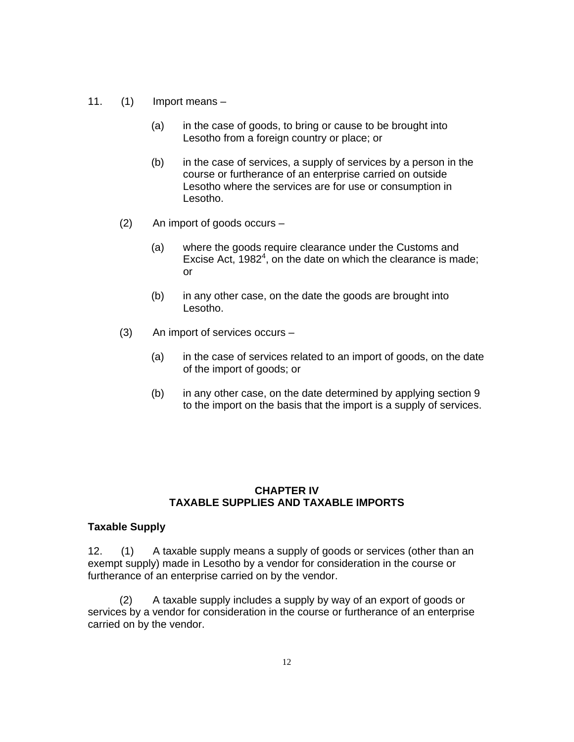- 11. (1) Import means
	- (a) in the case of goods, to bring or cause to be brought into Lesotho from a foreign country or place; or
	- (b) in the case of services, a supply of services by a person in the course or furtherance of an enterprise carried on outside Lesotho where the services are for use or consumption in Lesotho.
	- (2) An import of goods occurs
		- (a) where the goods require clearance under the Customs and Excise Act,  $1982<sup>4</sup>$ , on the date on which the clearance is made; or
		- (b) in any other case, on the date the goods are brought into Lesotho.
	- (3) An import of services occurs
		- (a) in the case of services related to an import of goods, on the date of the import of goods; or
		- (b) in any other case, on the date determined by applying section 9 to the import on the basis that the import is a supply of services.

## **CHAPTER IV TAXABLE SUPPLIES AND TAXABLE IMPORTS**

#### **Taxable Supply**

12. (1) A taxable supply means a supply of goods or services (other than an exempt supply) made in Lesotho by a vendor for consideration in the course or furtherance of an enterprise carried on by the vendor.

(2) A taxable supply includes a supply by way of an export of goods or services by a vendor for consideration in the course or furtherance of an enterprise carried on by the vendor.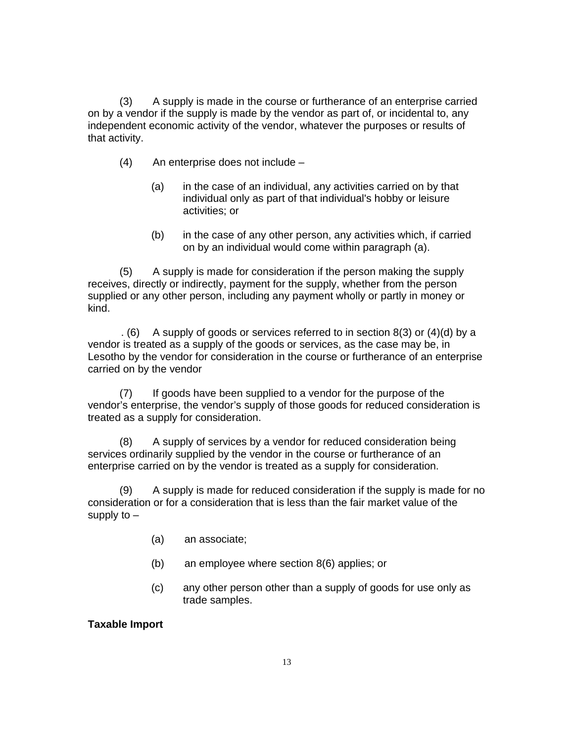(3) A supply is made in the course or furtherance of an enterprise carried on by a vendor if the supply is made by the vendor as part of, or incidental to, any independent economic activity of the vendor, whatever the purposes or results of that activity.

- (4) An enterprise does not include
	- (a) in the case of an individual, any activities carried on by that individual only as part of that individual's hobby or leisure activities; or
	- (b) in the case of any other person, any activities which, if carried on by an individual would come within paragraph (a).

(5) A supply is made for consideration if the person making the supply receives, directly or indirectly, payment for the supply, whether from the person supplied or any other person, including any payment wholly or partly in money or kind.

 . (6) A supply of goods or services referred to in section 8(3) or (4)(d) by a vendor is treated as a supply of the goods or services, as the case may be, in Lesotho by the vendor for consideration in the course or furtherance of an enterprise carried on by the vendor

(7) If goods have been supplied to a vendor for the purpose of the vendor's enterprise, the vendor's supply of those goods for reduced consideration is treated as a supply for consideration.

(8) A supply of services by a vendor for reduced consideration being services ordinarily supplied by the vendor in the course or furtherance of an enterprise carried on by the vendor is treated as a supply for consideration.

(9) A supply is made for reduced consideration if the supply is made for no consideration or for a consideration that is less than the fair market value of the supply to –

- (a) an associate;
- (b) an employee where section 8(6) applies; or
- (c) any other person other than a supply of goods for use only as trade samples.

### **Taxable Import**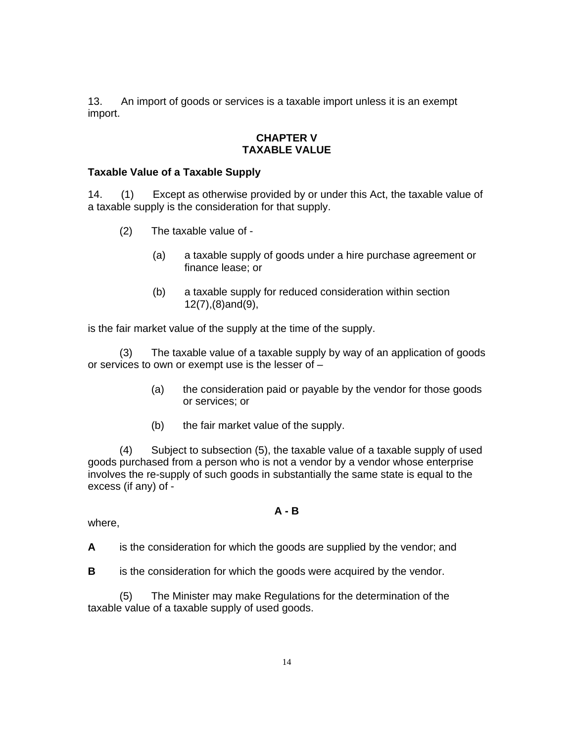13. An import of goods or services is a taxable import unless it is an exempt import.

### **CHAPTER V TAXABLE VALUE**

### **Taxable Value of a Taxable Supply**

14. (1) Except as otherwise provided by or under this Act, the taxable value of a taxable supply is the consideration for that supply.

- (2) The taxable value of
	- (a) a taxable supply of goods under a hire purchase agreement or finance lease; or
	- (b) a taxable supply for reduced consideration within section 12(7),(8)and(9),

is the fair market value of the supply at the time of the supply.

 (3) The taxable value of a taxable supply by way of an application of goods or services to own or exempt use is the lesser of –

- (a) the consideration paid or payable by the vendor for those goods or services; or
- (b) the fair market value of the supply.

(4) Subject to subsection (5), the taxable value of a taxable supply of used goods purchased from a person who is not a vendor by a vendor whose enterprise involves the re-supply of such goods in substantially the same state is equal to the excess (if any) of -

### **A - B**

where,

**A** is the consideration for which the goods are supplied by the vendor; and

**B** is the consideration for which the goods were acquired by the vendor.

(5) The Minister may make Regulations for the determination of the taxable value of a taxable supply of used goods.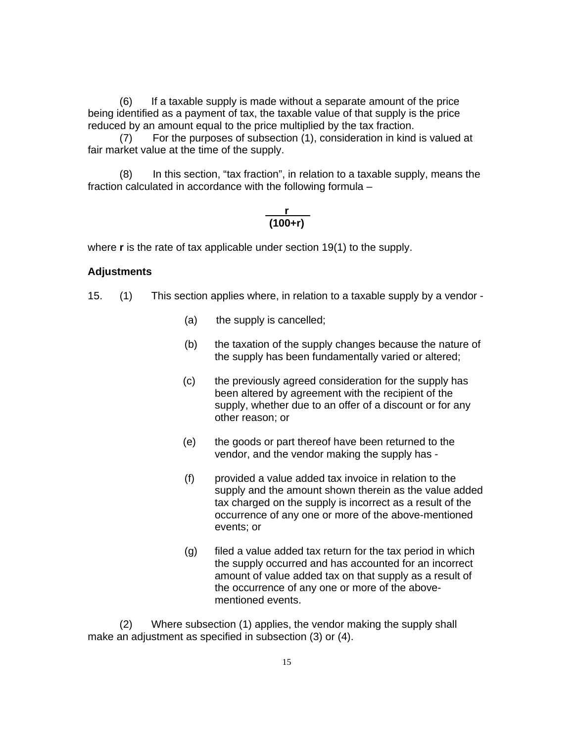(6) If a taxable supply is made without a separate amount of the price being identified as a payment of tax, the taxable value of that supply is the price reduced by an amount equal to the price multiplied by the tax fraction.

(7) For the purposes of subsection (1), consideration in kind is valued at fair market value at the time of the supply.

(8) In this section, "tax fraction", in relation to a taxable supply, means the fraction calculated in accordance with the following formula –

## **r (100+r)**

where **r** is the rate of tax applicable under section 19(1) to the supply.

### **Adjustments**

15. (1) This section applies where, in relation to a taxable supply by a vendor -

- (a) the supply is cancelled;
- (b) the taxation of the supply changes because the nature of the supply has been fundamentally varied or altered;
- (c) the previously agreed consideration for the supply has been altered by agreement with the recipient of the supply, whether due to an offer of a discount or for any other reason; or
- (e) the goods or part thereof have been returned to the vendor, and the vendor making the supply has -
- (f) provided a value added tax invoice in relation to the supply and the amount shown therein as the value added tax charged on the supply is incorrect as a result of the occurrence of any one or more of the above-mentioned events; or
- (g) filed a value added tax return for the tax period in which the supply occurred and has accounted for an incorrect amount of value added tax on that supply as a result of the occurrence of any one or more of the abovementioned events.

(2) Where subsection (1) applies, the vendor making the supply shall make an adjustment as specified in subsection (3) or (4).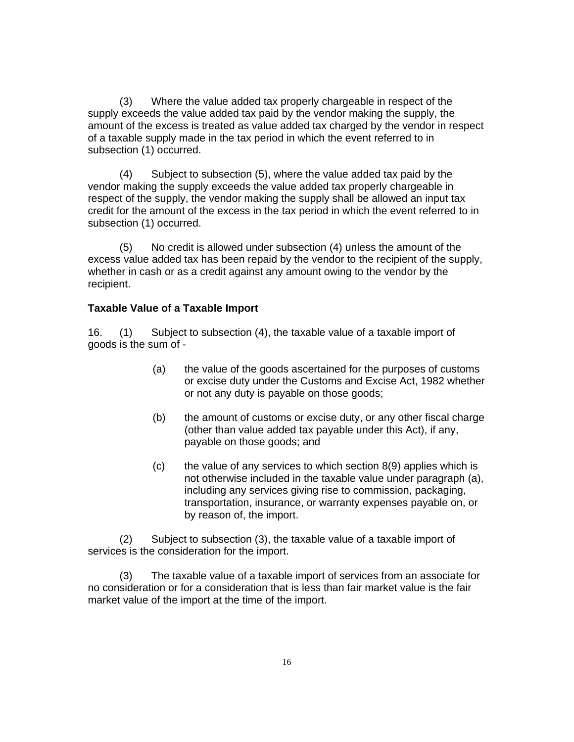(3) Where the value added tax properly chargeable in respect of the supply exceeds the value added tax paid by the vendor making the supply, the amount of the excess is treated as value added tax charged by the vendor in respect of a taxable supply made in the tax period in which the event referred to in subsection (1) occurred.

(4) Subject to subsection (5), where the value added tax paid by the vendor making the supply exceeds the value added tax properly chargeable in respect of the supply, the vendor making the supply shall be allowed an input tax credit for the amount of the excess in the tax period in which the event referred to in subsection (1) occurred.

(5) No credit is allowed under subsection (4) unless the amount of the excess value added tax has been repaid by the vendor to the recipient of the supply, whether in cash or as a credit against any amount owing to the vendor by the recipient.

## **Taxable Value of a Taxable Import**

16. (1) Subject to subsection (4), the taxable value of a taxable import of goods is the sum of -

- (a) the value of the goods ascertained for the purposes of customs or excise duty under the Customs and Excise Act, 1982 whether or not any duty is payable on those goods;
- (b) the amount of customs or excise duty, or any other fiscal charge (other than value added tax payable under this Act), if any, payable on those goods; and
- (c) the value of any services to which section 8(9) applies which is not otherwise included in the taxable value under paragraph (a), including any services giving rise to commission, packaging, transportation, insurance, or warranty expenses payable on, or by reason of, the import.

(2) Subject to subsection (3), the taxable value of a taxable import of services is the consideration for the import.

(3) The taxable value of a taxable import of services from an associate for no consideration or for a consideration that is less than fair market value is the fair market value of the import at the time of the import.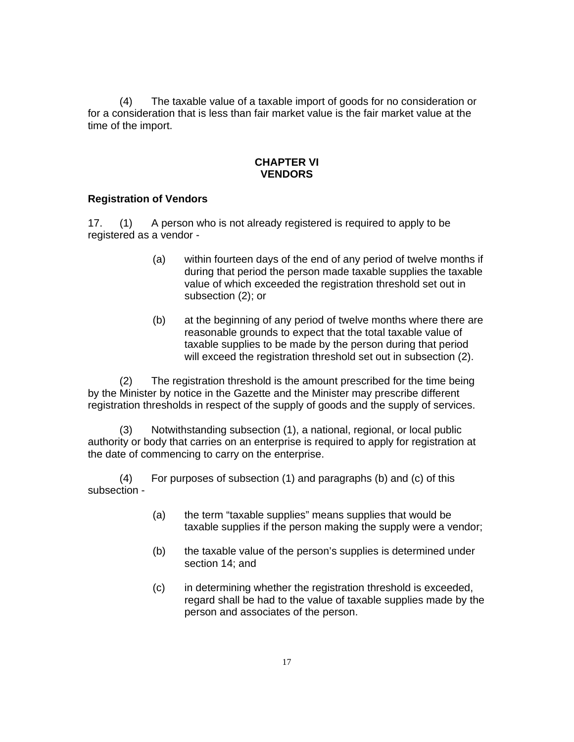(4) The taxable value of a taxable import of goods for no consideration or for a consideration that is less than fair market value is the fair market value at the time of the import.

### **CHAPTER VI VENDORS**

## **Registration of Vendors**

17. (1) A person who is not already registered is required to apply to be registered as a vendor -

- (a) within fourteen days of the end of any period of twelve months if during that period the person made taxable supplies the taxable value of which exceeded the registration threshold set out in subsection (2); or
- (b) at the beginning of any period of twelve months where there are reasonable grounds to expect that the total taxable value of taxable supplies to be made by the person during that period will exceed the registration threshold set out in subsection (2).

(2) The registration threshold is the amount prescribed for the time being by the Minister by notice in the Gazette and the Minister may prescribe different registration thresholds in respect of the supply of goods and the supply of services.

(3) Notwithstanding subsection (1), a national, regional, or local public authority or body that carries on an enterprise is required to apply for registration at the date of commencing to carry on the enterprise.

 (4) For purposes of subsection (1) and paragraphs (b) and (c) of this subsection -

- (a) the term "taxable supplies" means supplies that would be taxable supplies if the person making the supply were a vendor;
- (b) the taxable value of the person's supplies is determined under section 14; and
- (c) in determining whether the registration threshold is exceeded, regard shall be had to the value of taxable supplies made by the person and associates of the person.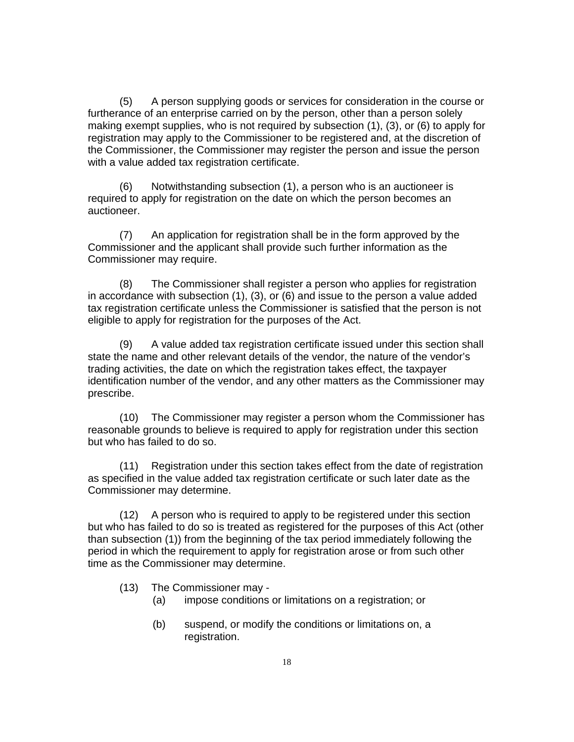(5) A person supplying goods or services for consideration in the course or furtherance of an enterprise carried on by the person, other than a person solely making exempt supplies, who is not required by subsection (1), (3), or (6) to apply for registration may apply to the Commissioner to be registered and, at the discretion of the Commissioner, the Commissioner may register the person and issue the person with a value added tax registration certificate.

(6) Notwithstanding subsection (1), a person who is an auctioneer is required to apply for registration on the date on which the person becomes an auctioneer.

(7) An application for registration shall be in the form approved by the Commissioner and the applicant shall provide such further information as the Commissioner may require.

(8) The Commissioner shall register a person who applies for registration in accordance with subsection (1), (3), or (6) and issue to the person a value added tax registration certificate unless the Commissioner is satisfied that the person is not eligible to apply for registration for the purposes of the Act.

(9) A value added tax registration certificate issued under this section shall state the name and other relevant details of the vendor, the nature of the vendor's trading activities, the date on which the registration takes effect, the taxpayer identification number of the vendor, and any other matters as the Commissioner may prescribe.

(10) The Commissioner may register a person whom the Commissioner has reasonable grounds to believe is required to apply for registration under this section but who has failed to do so.

(11) Registration under this section takes effect from the date of registration as specified in the value added tax registration certificate or such later date as the Commissioner may determine.

(12) A person who is required to apply to be registered under this section but who has failed to do so is treated as registered for the purposes of this Act (other than subsection (1)) from the beginning of the tax period immediately following the period in which the requirement to apply for registration arose or from such other time as the Commissioner may determine.

- (13) The Commissioner may
	- (a) impose conditions or limitations on a registration; or
	- (b) suspend, or modify the conditions or limitations on, a registration.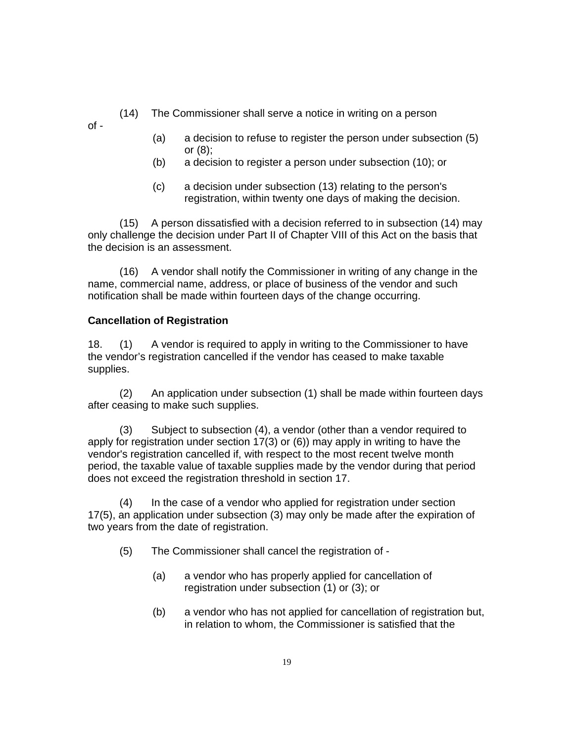- (14) The Commissioner shall serve a notice in writing on a person
- $of -$
- (a) a decision to refuse to register the person under subsection (5) or (8);
- (b) a decision to register a person under subsection (10); or
- (c) a decision under subsection (13) relating to the person's registration, within twenty one days of making the decision.

(15) A person dissatisfied with a decision referred to in subsection (14) may only challenge the decision under Part II of Chapter VIII of this Act on the basis that the decision is an assessment.

(16) A vendor shall notify the Commissioner in writing of any change in the name, commercial name, address, or place of business of the vendor and such notification shall be made within fourteen days of the change occurring.

# **Cancellation of Registration**

18. (1) A vendor is required to apply in writing to the Commissioner to have the vendor's registration cancelled if the vendor has ceased to make taxable supplies.

(2) An application under subsection (1) shall be made within fourteen days after ceasing to make such supplies.

(3) Subject to subsection (4), a vendor (other than a vendor required to apply for registration under section 17(3) or (6)) may apply in writing to have the vendor's registration cancelled if, with respect to the most recent twelve month period, the taxable value of taxable supplies made by the vendor during that period does not exceed the registration threshold in section 17.

(4) In the case of a vendor who applied for registration under section 17(5), an application under subsection (3) may only be made after the expiration of two years from the date of registration.

- (5) The Commissioner shall cancel the registration of
	- (a) a vendor who has properly applied for cancellation of registration under subsection (1) or (3); or
	- (b) a vendor who has not applied for cancellation of registration but, in relation to whom, the Commissioner is satisfied that the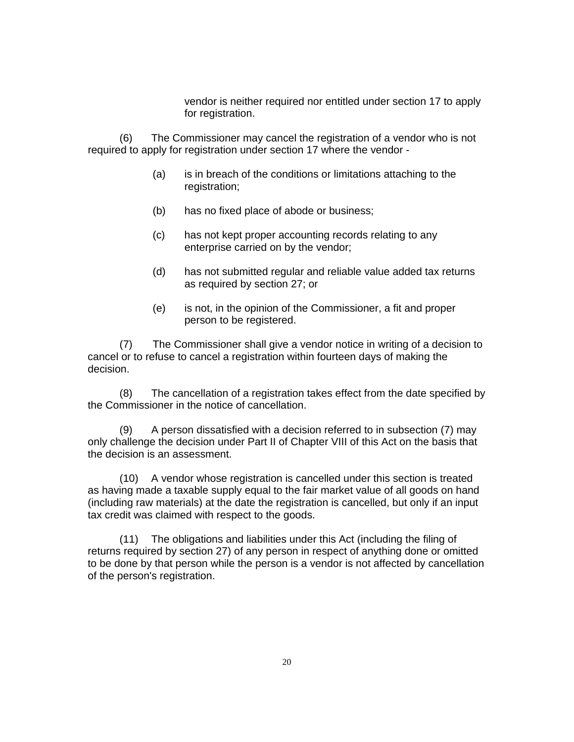vendor is neither required nor entitled under section 17 to apply for registration.

(6) The Commissioner may cancel the registration of a vendor who is not required to apply for registration under section 17 where the vendor -

- (a) is in breach of the conditions or limitations attaching to the registration;
- (b) has no fixed place of abode or business;
- (c) has not kept proper accounting records relating to any enterprise carried on by the vendor;
- (d) has not submitted regular and reliable value added tax returns as required by section 27; or
- (e) is not, in the opinion of the Commissioner, a fit and proper person to be registered.

(7) The Commissioner shall give a vendor notice in writing of a decision to cancel or to refuse to cancel a registration within fourteen days of making the decision.

(8) The cancellation of a registration takes effect from the date specified by the Commissioner in the notice of cancellation.

(9) A person dissatisfied with a decision referred to in subsection (7) may only challenge the decision under Part II of Chapter VIII of this Act on the basis that the decision is an assessment.

(10) A vendor whose registration is cancelled under this section is treated as having made a taxable supply equal to the fair market value of all goods on hand (including raw materials) at the date the registration is cancelled, but only if an input tax credit was claimed with respect to the goods.

(11) The obligations and liabilities under this Act (including the filing of returns required by section 27) of any person in respect of anything done or omitted to be done by that person while the person is a vendor is not affected by cancellation of the person's registration.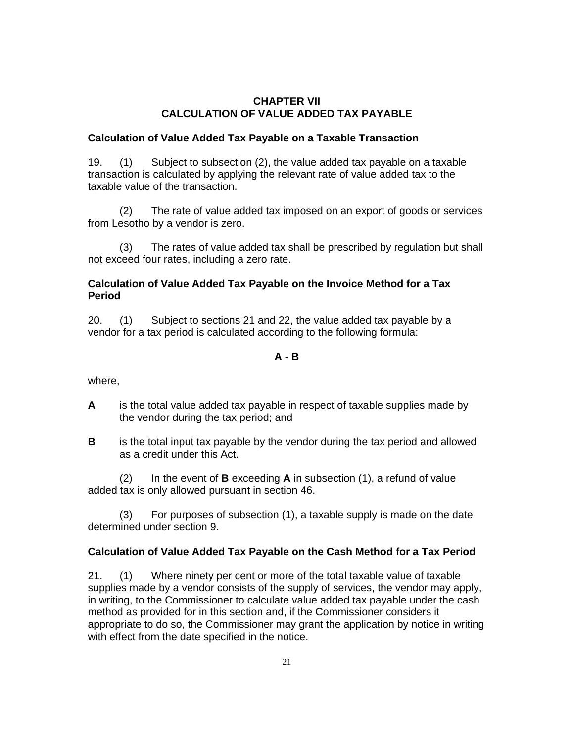## **CHAPTER VII CALCULATION OF VALUE ADDED TAX PAYABLE**

## **Calculation of Value Added Tax Payable on a Taxable Transaction**

19. (1) Subject to subsection (2), the value added tax payable on a taxable transaction is calculated by applying the relevant rate of value added tax to the taxable value of the transaction.

(2) The rate of value added tax imposed on an export of goods or services from Lesotho by a vendor is zero.

(3) The rates of value added tax shall be prescribed by regulation but shall not exceed four rates, including a zero rate.

# **Calculation of Value Added Tax Payable on the Invoice Method for a Tax Period**

20. (1) Subject to sections 21 and 22, the value added tax payable by a vendor for a tax period is calculated according to the following formula:

## **A - B**

where,

- **A** is the total value added tax payable in respect of taxable supplies made by the vendor during the tax period; and
- **B** is the total input tax payable by the vendor during the tax period and allowed as a credit under this Act.

(2) In the event of **B** exceeding **A** in subsection (1), a refund of value added tax is only allowed pursuant in section 46.

(3) For purposes of subsection (1), a taxable supply is made on the date determined under section 9.

# **Calculation of Value Added Tax Payable on the Cash Method for a Tax Period**

21. (1) Where ninety per cent or more of the total taxable value of taxable supplies made by a vendor consists of the supply of services, the vendor may apply, in writing, to the Commissioner to calculate value added tax payable under the cash method as provided for in this section and, if the Commissioner considers it appropriate to do so, the Commissioner may grant the application by notice in writing with effect from the date specified in the notice.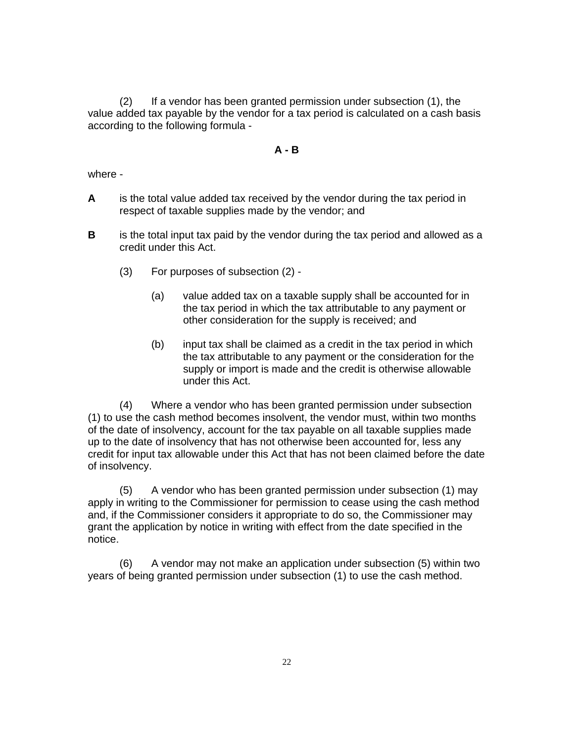(2) If a vendor has been granted permission under subsection (1), the value added tax payable by the vendor for a tax period is calculated on a cash basis according to the following formula -

#### **A - B**

where -

- **A** is the total value added tax received by the vendor during the tax period in respect of taxable supplies made by the vendor; and
- **B** is the total input tax paid by the vendor during the tax period and allowed as a credit under this Act.
	- (3) For purposes of subsection (2)
		- (a) value added tax on a taxable supply shall be accounted for in the tax period in which the tax attributable to any payment or other consideration for the supply is received; and
		- (b) input tax shall be claimed as a credit in the tax period in which the tax attributable to any payment or the consideration for the supply or import is made and the credit is otherwise allowable under this Act.

(4) Where a vendor who has been granted permission under subsection (1) to use the cash method becomes insolvent, the vendor must, within two months of the date of insolvency, account for the tax payable on all taxable supplies made up to the date of insolvency that has not otherwise been accounted for, less any credit for input tax allowable under this Act that has not been claimed before the date of insolvency.

(5) A vendor who has been granted permission under subsection (1) may apply in writing to the Commissioner for permission to cease using the cash method and, if the Commissioner considers it appropriate to do so, the Commissioner may grant the application by notice in writing with effect from the date specified in the notice.

(6) A vendor may not make an application under subsection (5) within two years of being granted permission under subsection (1) to use the cash method.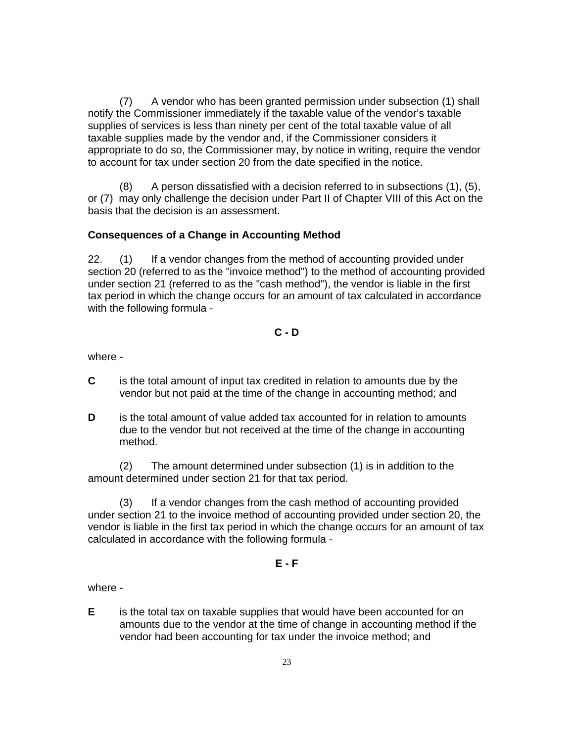(7) A vendor who has been granted permission under subsection (1) shall notify the Commissioner immediately if the taxable value of the vendor's taxable supplies of services is less than ninety per cent of the total taxable value of all taxable supplies made by the vendor and, if the Commissioner considers it appropriate to do so, the Commissioner may, by notice in writing, require the vendor to account for tax under section 20 from the date specified in the notice.

(8) A person dissatisfied with a decision referred to in subsections (1), (5), or (7) may only challenge the decision under Part II of Chapter VIII of this Act on the basis that the decision is an assessment.

# **Consequences of a Change in Accounting Method**

22. (1) If a vendor changes from the method of accounting provided under section 20 (referred to as the "invoice method") to the method of accounting provided under section 21 (referred to as the "cash method"), the vendor is liable in the first tax period in which the change occurs for an amount of tax calculated in accordance with the following formula -

# **C - D**

where -

- **C** is the total amount of input tax credited in relation to amounts due by the vendor but not paid at the time of the change in accounting method; and
- **D** is the total amount of value added tax accounted for in relation to amounts due to the vendor but not received at the time of the change in accounting method.

(2) The amount determined under subsection (1) is in addition to the amount determined under section 21 for that tax period.

 (3) If a vendor changes from the cash method of accounting provided under section 21 to the invoice method of accounting provided under section 20, the vendor is liable in the first tax period in which the change occurs for an amount of tax calculated in accordance with the following formula -

# **E - F**

where -

**E** is the total tax on taxable supplies that would have been accounted for on amounts due to the vendor at the time of change in accounting method if the vendor had been accounting for tax under the invoice method; and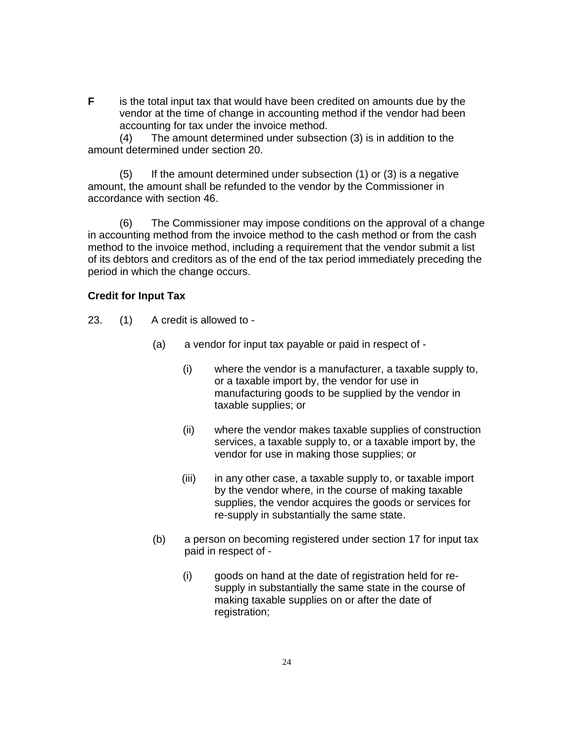**F** is the total input tax that would have been credited on amounts due by the vendor at the time of change in accounting method if the vendor had been accounting for tax under the invoice method.

(4) The amount determined under subsection (3) is in addition to the amount determined under section 20.

If the amount determined under subsection  $(1)$  or  $(3)$  is a negative amount, the amount shall be refunded to the vendor by the Commissioner in accordance with section 46.

(6) The Commissioner may impose conditions on the approval of a change in accounting method from the invoice method to the cash method or from the cash method to the invoice method, including a requirement that the vendor submit a list of its debtors and creditors as of the end of the tax period immediately preceding the period in which the change occurs.

### **Credit for Input Tax**

- 23. (1) A credit is allowed to
	- (a) a vendor for input tax payable or paid in respect of
		- (i) where the vendor is a manufacturer, a taxable supply to, or a taxable import by, the vendor for use in manufacturing goods to be supplied by the vendor in taxable supplies; or
		- (ii) where the vendor makes taxable supplies of construction services, a taxable supply to, or a taxable import by, the vendor for use in making those supplies; or
		- (iii) in any other case, a taxable supply to, or taxable import by the vendor where, in the course of making taxable supplies, the vendor acquires the goods or services for re-supply in substantially the same state.
	- (b) a person on becoming registered under section 17 for input tax paid in respect of -
		- (i) goods on hand at the date of registration held for resupply in substantially the same state in the course of making taxable supplies on or after the date of registration;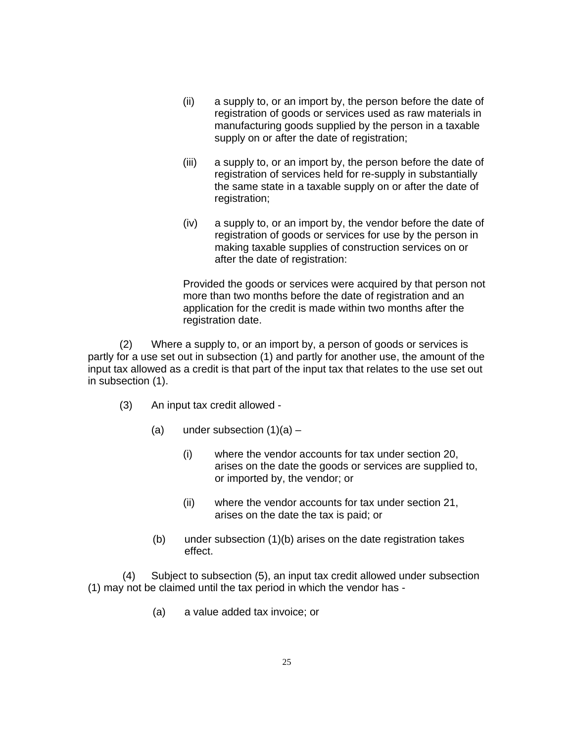- (ii) a supply to, or an import by, the person before the date of registration of goods or services used as raw materials in manufacturing goods supplied by the person in a taxable supply on or after the date of registration;
- (iii) a supply to, or an import by, the person before the date of registration of services held for re-supply in substantially the same state in a taxable supply on or after the date of registration;
- (iv) a supply to, or an import by, the vendor before the date of registration of goods or services for use by the person in making taxable supplies of construction services on or after the date of registration:

Provided the goods or services were acquired by that person not more than two months before the date of registration and an application for the credit is made within two months after the registration date.

(2) Where a supply to, or an import by, a person of goods or services is partly for a use set out in subsection (1) and partly for another use, the amount of the input tax allowed as a credit is that part of the input tax that relates to the use set out in subsection (1).

- (3) An input tax credit allowed
	- (a) under subsection  $(1)(a)$ 
		- (i) where the vendor accounts for tax under section 20, arises on the date the goods or services are supplied to, or imported by, the vendor; or
		- (ii) where the vendor accounts for tax under section 21, arises on the date the tax is paid; or
	- (b) under subsection (1)(b) arises on the date registration takes effect.

 (4) Subject to subsection (5), an input tax credit allowed under subsection (1) may not be claimed until the tax period in which the vendor has -

(a) a value added tax invoice; or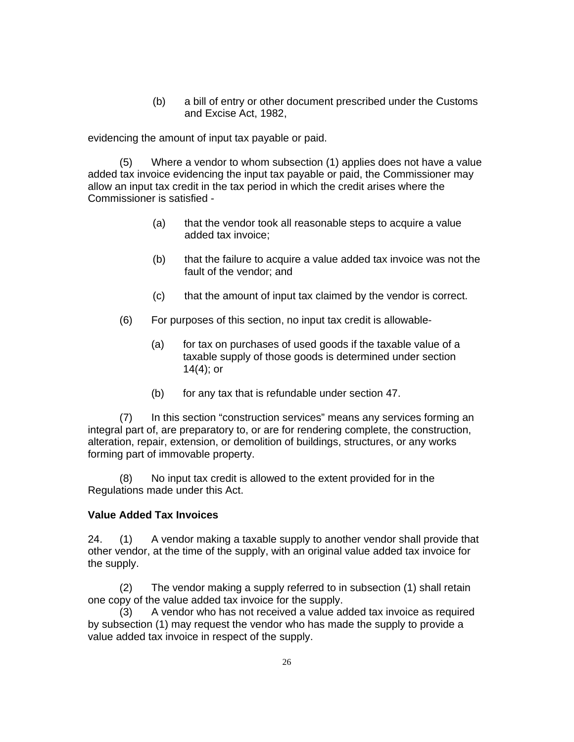(b) a bill of entry or other document prescribed under the Customs and Excise Act, 1982,

evidencing the amount of input tax payable or paid.

(5) Where a vendor to whom subsection (1) applies does not have a value added tax invoice evidencing the input tax payable or paid, the Commissioner may allow an input tax credit in the tax period in which the credit arises where the Commissioner is satisfied -

- (a) that the vendor took all reasonable steps to acquire a value added tax invoice;
- (b) that the failure to acquire a value added tax invoice was not the fault of the vendor; and
- (c) that the amount of input tax claimed by the vendor is correct.
- (6) For purposes of this section, no input tax credit is allowable-
	- (a) for tax on purchases of used goods if the taxable value of a taxable supply of those goods is determined under section 14(4); or
	- (b) for any tax that is refundable under section 47.

(7) In this section "construction services" means any services forming an integral part of, are preparatory to, or are for rendering complete, the construction, alteration, repair, extension, or demolition of buildings, structures, or any works forming part of immovable property.

(8) No input tax credit is allowed to the extent provided for in the Regulations made under this Act.

### **Value Added Tax Invoices**

24. (1) A vendor making a taxable supply to another vendor shall provide that other vendor, at the time of the supply, with an original value added tax invoice for the supply.

(2) The vendor making a supply referred to in subsection (1) shall retain one copy of the value added tax invoice for the supply.

(3) A vendor who has not received a value added tax invoice as required by subsection (1) may request the vendor who has made the supply to provide a value added tax invoice in respect of the supply.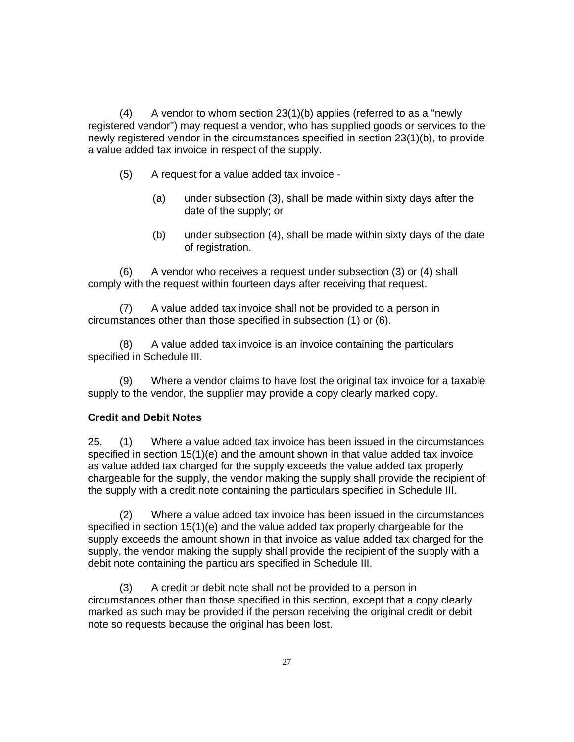$(4)$  A vendor to whom section 23 $(1)(b)$  applies (referred to as a "newly registered vendor") may request a vendor, who has supplied goods or services to the newly registered vendor in the circumstances specified in section 23(1)(b), to provide a value added tax invoice in respect of the supply.

- (5) A request for a value added tax invoice
	- (a) under subsection (3), shall be made within sixty days after the date of the supply; or
	- (b) under subsection (4), shall be made within sixty days of the date of registration.

(6) A vendor who receives a request under subsection (3) or (4) shall comply with the request within fourteen days after receiving that request.

(7) A value added tax invoice shall not be provided to a person in circumstances other than those specified in subsection (1) or (6).

(8) A value added tax invoice is an invoice containing the particulars specified in Schedule III.

(9) Where a vendor claims to have lost the original tax invoice for a taxable supply to the vendor, the supplier may provide a copy clearly marked copy.

# **Credit and Debit Notes**

25. (1) Where a value added tax invoice has been issued in the circumstances specified in section 15(1)(e) and the amount shown in that value added tax invoice as value added tax charged for the supply exceeds the value added tax properly chargeable for the supply, the vendor making the supply shall provide the recipient of the supply with a credit note containing the particulars specified in Schedule III.

(2) Where a value added tax invoice has been issued in the circumstances specified in section 15(1)(e) and the value added tax properly chargeable for the supply exceeds the amount shown in that invoice as value added tax charged for the supply, the vendor making the supply shall provide the recipient of the supply with a debit note containing the particulars specified in Schedule III.

(3) A credit or debit note shall not be provided to a person in circumstances other than those specified in this section, except that a copy clearly marked as such may be provided if the person receiving the original credit or debit note so requests because the original has been lost.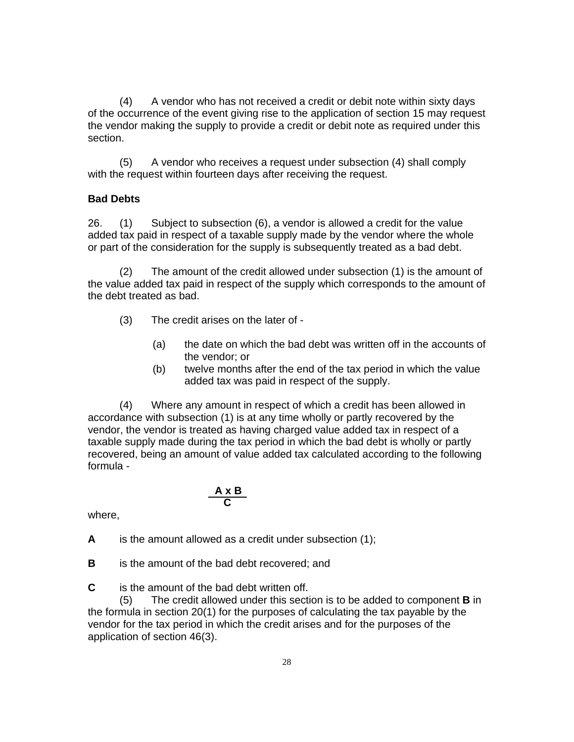(4) A vendor who has not received a credit or debit note within sixty days of the occurrence of the event giving rise to the application of section 15 may request the vendor making the supply to provide a credit or debit note as required under this section.

(5) A vendor who receives a request under subsection (4) shall comply with the request within fourteen days after receiving the request.

# **Bad Debts**

26. (1) Subject to subsection (6), a vendor is allowed a credit for the value added tax paid in respect of a taxable supply made by the vendor where the whole or part of the consideration for the supply is subsequently treated as a bad debt.

(2) The amount of the credit allowed under subsection (1) is the amount of the value added tax paid in respect of the supply which corresponds to the amount of the debt treated as bad.

- (3) The credit arises on the later of
	- (a) the date on which the bad debt was written off in the accounts of the vendor; or
	- (b) twelve months after the end of the tax period in which the value added tax was paid in respect of the supply.

 (4) Where any amount in respect of which a credit has been allowed in accordance with subsection (1) is at any time wholly or partly recovered by the vendor, the vendor is treated as having charged value added tax in respect of a taxable supply made during the tax period in which the bad debt is wholly or partly recovered, being an amount of value added tax calculated according to the following formula -

$$
\frac{A \times B}{C}
$$

where,

**A** is the amount allowed as a credit under subsection (1);

**B** is the amount of the bad debt recovered; and

**C** is the amount of the bad debt written off.

(5) The credit allowed under this section is to be added to component **B** in the formula in section 20(1) for the purposes of calculating the tax payable by the vendor for the tax period in which the credit arises and for the purposes of the application of section 46(3).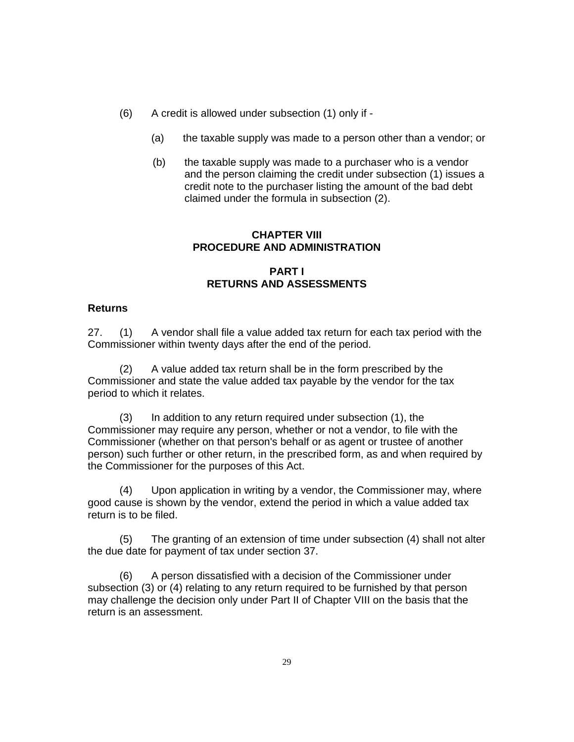- (6) A credit is allowed under subsection (1) only if
	- (a) the taxable supply was made to a person other than a vendor; or
	- (b) the taxable supply was made to a purchaser who is a vendor and the person claiming the credit under subsection (1) issues a credit note to the purchaser listing the amount of the bad debt claimed under the formula in subsection (2).

## **CHAPTER VIII PROCEDURE AND ADMINISTRATION**

# **PART I RETURNS AND ASSESSMENTS**

## **Returns**

27. (1) A vendor shall file a value added tax return for each tax period with the Commissioner within twenty days after the end of the period.

(2) A value added tax return shall be in the form prescribed by the Commissioner and state the value added tax payable by the vendor for the tax period to which it relates.

(3) In addition to any return required under subsection (1), the Commissioner may require any person, whether or not a vendor, to file with the Commissioner (whether on that person's behalf or as agent or trustee of another person) such further or other return, in the prescribed form, as and when required by the Commissioner for the purposes of this Act.

Upon application in writing by a vendor, the Commissioner may, where good cause is shown by the vendor, extend the period in which a value added tax return is to be filed.

(5) The granting of an extension of time under subsection (4) shall not alter the due date for payment of tax under section 37.

(6) A person dissatisfied with a decision of the Commissioner under subsection (3) or (4) relating to any return required to be furnished by that person may challenge the decision only under Part II of Chapter VIII on the basis that the return is an assessment.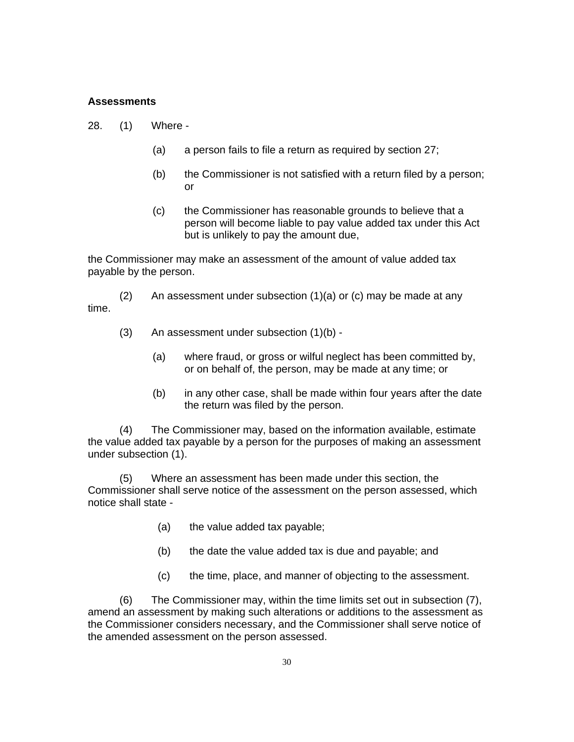#### **Assessments**

- 28. (1) Where
	- (a) a person fails to file a return as required by section 27;
	- (b) the Commissioner is not satisfied with a return filed by a person; or
	- (c) the Commissioner has reasonable grounds to believe that a person will become liable to pay value added tax under this Act but is unlikely to pay the amount due,

the Commissioner may make an assessment of the amount of value added tax payable by the person.

(2) An assessment under subsection (1)(a) or (c) may be made at any time.

- (3) An assessment under subsection (1)(b)
	- (a) where fraud, or gross or wilful neglect has been committed by, or on behalf of, the person, may be made at any time; or
	- (b) in any other case, shall be made within four years after the date the return was filed by the person.

(4) The Commissioner may, based on the information available, estimate the value added tax payable by a person for the purposes of making an assessment under subsection (1).

(5) Where an assessment has been made under this section, the Commissioner shall serve notice of the assessment on the person assessed, which notice shall state -

- (a) the value added tax payable;
- (b) the date the value added tax is due and payable; and
- (c) the time, place, and manner of objecting to the assessment.

(6) The Commissioner may, within the time limits set out in subsection (7), amend an assessment by making such alterations or additions to the assessment as the Commissioner considers necessary, and the Commissioner shall serve notice of the amended assessment on the person assessed.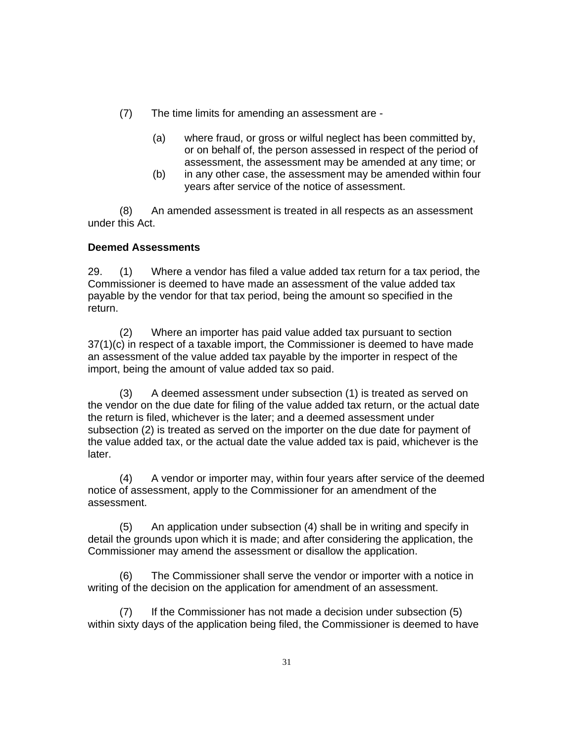- (7) The time limits for amending an assessment are
	- (a) where fraud, or gross or wilful neglect has been committed by, or on behalf of, the person assessed in respect of the period of assessment, the assessment may be amended at any time; or
	- (b) in any other case, the assessment may be amended within four years after service of the notice of assessment.

(8) An amended assessment is treated in all respects as an assessment under this Act.

# **Deemed Assessments**

29. (1) Where a vendor has filed a value added tax return for a tax period, the Commissioner is deemed to have made an assessment of the value added tax payable by the vendor for that tax period, being the amount so specified in the return.

(2) Where an importer has paid value added tax pursuant to section 37(1)(c) in respect of a taxable import, the Commissioner is deemed to have made an assessment of the value added tax payable by the importer in respect of the import, being the amount of value added tax so paid.

(3) A deemed assessment under subsection (1) is treated as served on the vendor on the due date for filing of the value added tax return, or the actual date the return is filed, whichever is the later; and a deemed assessment under subsection (2) is treated as served on the importer on the due date for payment of the value added tax, or the actual date the value added tax is paid, whichever is the later.

(4) A vendor or importer may, within four years after service of the deemed notice of assessment, apply to the Commissioner for an amendment of the assessment.

(5) An application under subsection (4) shall be in writing and specify in detail the grounds upon which it is made; and after considering the application, the Commissioner may amend the assessment or disallow the application.

(6) The Commissioner shall serve the vendor or importer with a notice in writing of the decision on the application for amendment of an assessment.

(7) If the Commissioner has not made a decision under subsection (5) within sixty days of the application being filed, the Commissioner is deemed to have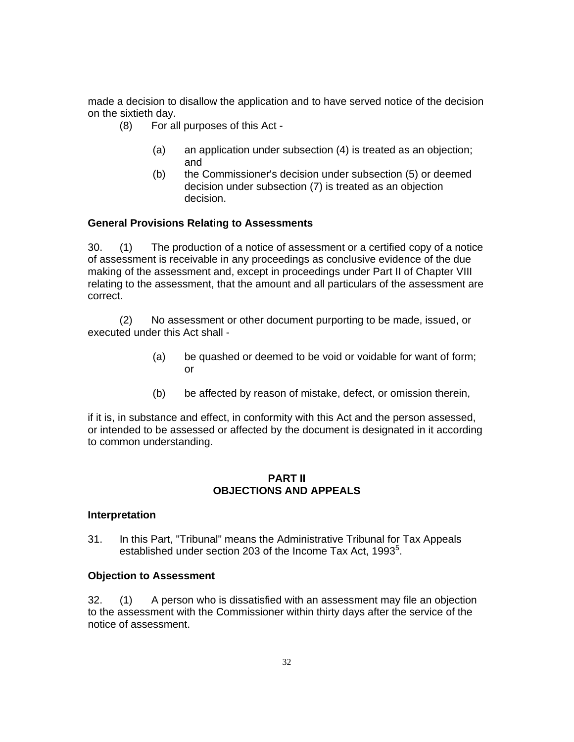made a decision to disallow the application and to have served notice of the decision on the sixtieth day.

- (8) For all purposes of this Act
	- (a) an application under subsection (4) is treated as an objection; and
	- (b) the Commissioner's decision under subsection (5) or deemed decision under subsection (7) is treated as an objection decision.

#### **General Provisions Relating to Assessments**

30. (1) The production of a notice of assessment or a certified copy of a notice of assessment is receivable in any proceedings as conclusive evidence of the due making of the assessment and, except in proceedings under Part II of Chapter VIII relating to the assessment, that the amount and all particulars of the assessment are correct.

(2) No assessment or other document purporting to be made, issued, or executed under this Act shall -

- (a) be quashed or deemed to be void or voidable for want of form; or
- (b) be affected by reason of mistake, defect, or omission therein,

if it is, in substance and effect, in conformity with this Act and the person assessed, or intended to be assessed or affected by the document is designated in it according to common understanding.

#### **PART II OBJECTIONS AND APPEALS**

#### **Interpretation**

31. In this Part, "Tribunal" means the Administrative Tribunal for Tax Appeals established under section 203 of the Income Tax Act, 1993<sup>5</sup>.

#### **Objection to Assessment**

32. (1) A person who is dissatisfied with an assessment may file an objection to the assessment with the Commissioner within thirty days after the service of the notice of assessment.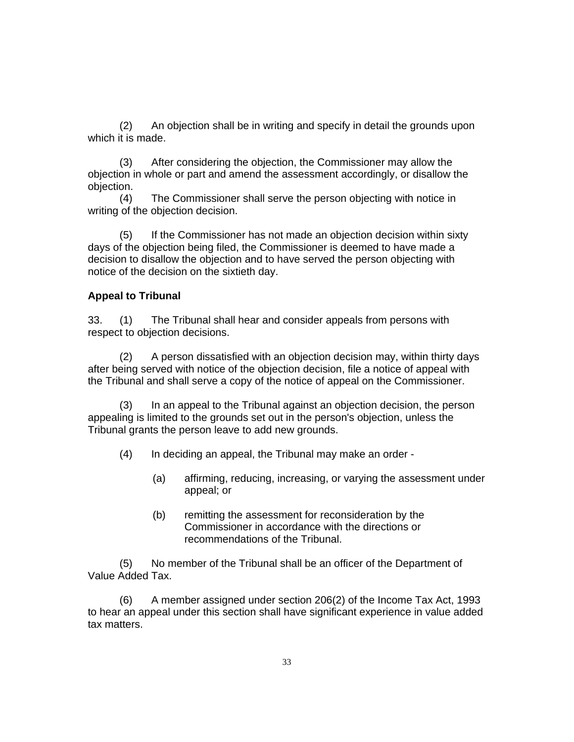(2) An objection shall be in writing and specify in detail the grounds upon which it is made.

(3) After considering the objection, the Commissioner may allow the objection in whole or part and amend the assessment accordingly, or disallow the objection.

(4) The Commissioner shall serve the person objecting with notice in writing of the objection decision.

(5) If the Commissioner has not made an objection decision within sixty days of the objection being filed, the Commissioner is deemed to have made a decision to disallow the objection and to have served the person objecting with notice of the decision on the sixtieth day.

### **Appeal to Tribunal**

33. (1) The Tribunal shall hear and consider appeals from persons with respect to objection decisions.

(2) A person dissatisfied with an objection decision may, within thirty days after being served with notice of the objection decision, file a notice of appeal with the Tribunal and shall serve a copy of the notice of appeal on the Commissioner.

(3) In an appeal to the Tribunal against an objection decision, the person appealing is limited to the grounds set out in the person's objection, unless the Tribunal grants the person leave to add new grounds.

- (4) In deciding an appeal, the Tribunal may make an order
	- (a) affirming, reducing, increasing, or varying the assessment under appeal; or
	- (b) remitting the assessment for reconsideration by the Commissioner in accordance with the directions or recommendations of the Tribunal.

(5) No member of the Tribunal shall be an officer of the Department of Value Added Tax.

(6) A member assigned under section 206(2) of the Income Tax Act, 1993 to hear an appeal under this section shall have significant experience in value added tax matters.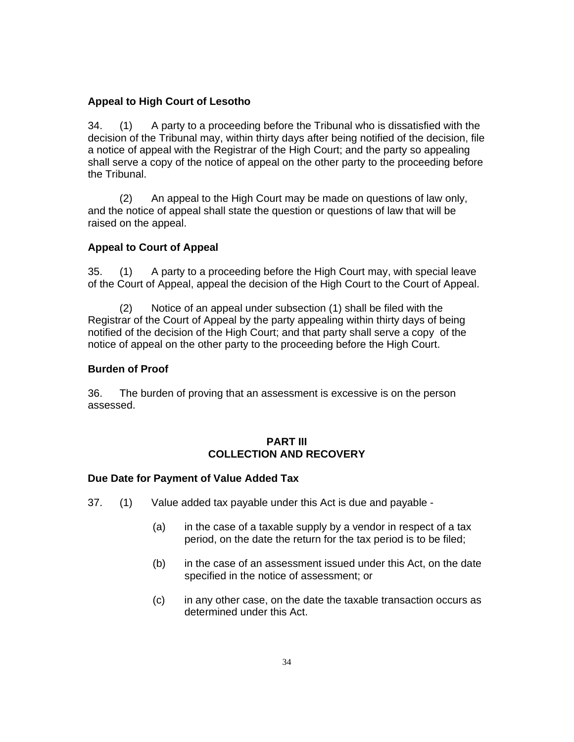## **Appeal to High Court of Lesotho**

34. (1) A party to a proceeding before the Tribunal who is dissatisfied with the decision of the Tribunal may, within thirty days after being notified of the decision, file a notice of appeal with the Registrar of the High Court; and the party so appealing shall serve a copy of the notice of appeal on the other party to the proceeding before the Tribunal.

(2) An appeal to the High Court may be made on questions of law only, and the notice of appeal shall state the question or questions of law that will be raised on the appeal.

## **Appeal to Court of Appeal**

35. (1) A party to a proceeding before the High Court may, with special leave of the Court of Appeal, appeal the decision of the High Court to the Court of Appeal.

(2) Notice of an appeal under subsection (1) shall be filed with the Registrar of the Court of Appeal by the party appealing within thirty days of being notified of the decision of the High Court; and that party shall serve a copy of the notice of appeal on the other party to the proceeding before the High Court.

## **Burden of Proof**

36. The burden of proving that an assessment is excessive is on the person assessed.

### **PART III COLLECTION AND RECOVERY**

### **Due Date for Payment of Value Added Tax**

- 37. (1) Value added tax payable under this Act is due and payable
	- (a) in the case of a taxable supply by a vendor in respect of a tax period, on the date the return for the tax period is to be filed;
	- (b) in the case of an assessment issued under this Act, on the date specified in the notice of assessment; or
	- (c) in any other case, on the date the taxable transaction occurs as determined under this Act.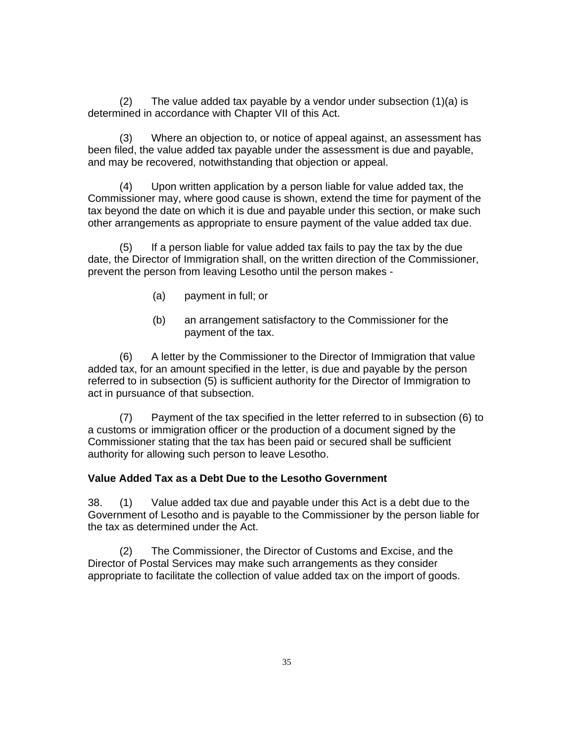(2) The value added tax payable by a vendor under subsection (1)(a) is determined in accordance with Chapter VII of this Act.

(3) Where an objection to, or notice of appeal against, an assessment has been filed, the value added tax payable under the assessment is due and payable, and may be recovered, notwithstanding that objection or appeal.

(4) Upon written application by a person liable for value added tax, the Commissioner may, where good cause is shown, extend the time for payment of the tax beyond the date on which it is due and payable under this section, or make such other arrangements as appropriate to ensure payment of the value added tax due.

(5) If a person liable for value added tax fails to pay the tax by the due date, the Director of Immigration shall, on the written direction of the Commissioner, prevent the person from leaving Lesotho until the person makes -

- (a) payment in full; or
- (b) an arrangement satisfactory to the Commissioner for the payment of the tax.

(6) A letter by the Commissioner to the Director of Immigration that value added tax, for an amount specified in the letter, is due and payable by the person referred to in subsection (5) is sufficient authority for the Director of Immigration to act in pursuance of that subsection.

(7) Payment of the tax specified in the letter referred to in subsection (6) to a customs or immigration officer or the production of a document signed by the Commissioner stating that the tax has been paid or secured shall be sufficient authority for allowing such person to leave Lesotho.

#### **Value Added Tax as a Debt Due to the Lesotho Government**

38. (1) Value added tax due and payable under this Act is a debt due to the Government of Lesotho and is payable to the Commissioner by the person liable for the tax as determined under the Act.

(2) The Commissioner, the Director of Customs and Excise, and the Director of Postal Services may make such arrangements as they consider appropriate to facilitate the collection of value added tax on the import of goods.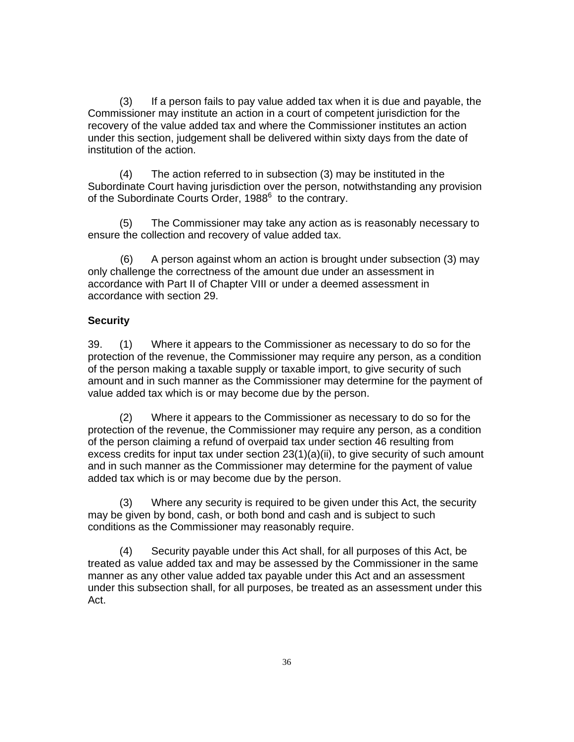(3) If a person fails to pay value added tax when it is due and payable, the Commissioner may institute an action in a court of competent jurisdiction for the recovery of the value added tax and where the Commissioner institutes an action under this section, judgement shall be delivered within sixty days from the date of institution of the action.

(4) The action referred to in subsection (3) may be instituted in the Subordinate Court having jurisdiction over the person, notwithstanding any provision of the Subordinate Courts Order, 1988<sup>6</sup> to the contrary.

(5) The Commissioner may take any action as is reasonably necessary to ensure the collection and recovery of value added tax.

(6) A person against whom an action is brought under subsection (3) may only challenge the correctness of the amount due under an assessment in accordance with Part II of Chapter VIII or under a deemed assessment in accordance with section 29.

## **Security**

39. (1) Where it appears to the Commissioner as necessary to do so for the protection of the revenue, the Commissioner may require any person, as a condition of the person making a taxable supply or taxable import, to give security of such amount and in such manner as the Commissioner may determine for the payment of value added tax which is or may become due by the person.

(2) Where it appears to the Commissioner as necessary to do so for the protection of the revenue, the Commissioner may require any person, as a condition of the person claiming a refund of overpaid tax under section 46 resulting from excess credits for input tax under section 23(1)(a)(ii), to give security of such amount and in such manner as the Commissioner may determine for the payment of value added tax which is or may become due by the person.

(3) Where any security is required to be given under this Act, the security may be given by bond, cash, or both bond and cash and is subject to such conditions as the Commissioner may reasonably require.

(4) Security payable under this Act shall, for all purposes of this Act, be treated as value added tax and may be assessed by the Commissioner in the same manner as any other value added tax payable under this Act and an assessment under this subsection shall, for all purposes, be treated as an assessment under this Act.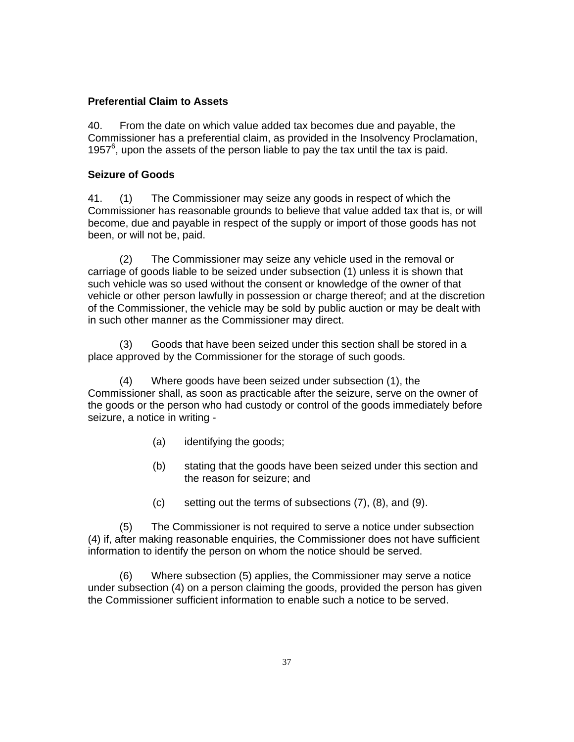### **Preferential Claim to Assets**

40. From the date on which value added tax becomes due and payable, the Commissioner has a preferential claim, as provided in the Insolvency Proclamation, 1957<sup>6</sup>, upon the assets of the person liable to pay the tax until the tax is paid.

#### **Seizure of Goods**

41. (1) The Commissioner may seize any goods in respect of which the Commissioner has reasonable grounds to believe that value added tax that is, or will become, due and payable in respect of the supply or import of those goods has not been, or will not be, paid.

(2) The Commissioner may seize any vehicle used in the removal or carriage of goods liable to be seized under subsection (1) unless it is shown that such vehicle was so used without the consent or knowledge of the owner of that vehicle or other person lawfully in possession or charge thereof; and at the discretion of the Commissioner, the vehicle may be sold by public auction or may be dealt with in such other manner as the Commissioner may direct.

(3) Goods that have been seized under this section shall be stored in a place approved by the Commissioner for the storage of such goods.

(4) Where goods have been seized under subsection (1), the Commissioner shall, as soon as practicable after the seizure, serve on the owner of the goods or the person who had custody or control of the goods immediately before seizure, a notice in writing -

- (a) identifying the goods;
- (b) stating that the goods have been seized under this section and the reason for seizure; and
- (c) setting out the terms of subsections (7), (8), and (9).

(5) The Commissioner is not required to serve a notice under subsection (4) if, after making reasonable enquiries, the Commissioner does not have sufficient information to identify the person on whom the notice should be served.

(6) Where subsection (5) applies, the Commissioner may serve a notice under subsection (4) on a person claiming the goods, provided the person has given the Commissioner sufficient information to enable such a notice to be served.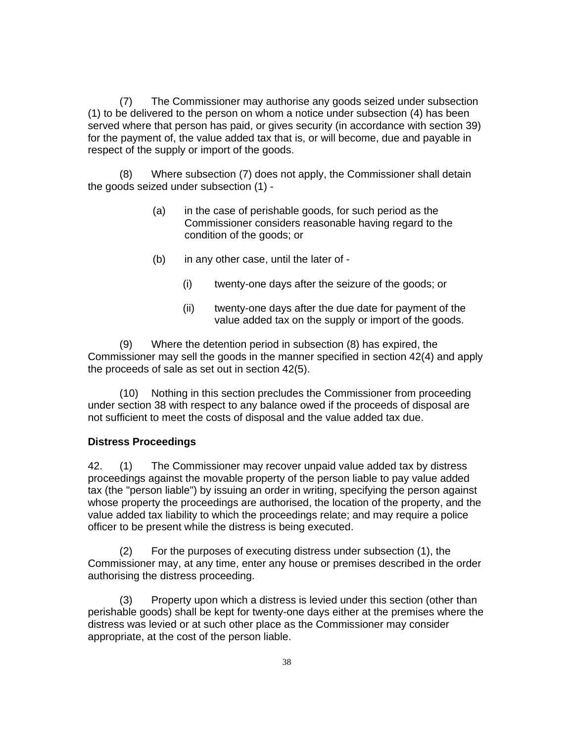(7) The Commissioner may authorise any goods seized under subsection (1) to be delivered to the person on whom a notice under subsection (4) has been served where that person has paid, or gives security (in accordance with section 39) for the payment of, the value added tax that is, or will become, due and payable in respect of the supply or import of the goods.

(8) Where subsection (7) does not apply, the Commissioner shall detain the goods seized under subsection (1) -

- (a) in the case of perishable goods, for such period as the Commissioner considers reasonable having regard to the condition of the goods; or
- (b) in any other case, until the later of
	- (i) twenty-one days after the seizure of the goods; or
	- (ii) twenty-one days after the due date for payment of the value added tax on the supply or import of the goods.

(9) Where the detention period in subsection (8) has expired, the Commissioner may sell the goods in the manner specified in section 42(4) and apply the proceeds of sale as set out in section 42(5).

(10) Nothing in this section precludes the Commissioner from proceeding under section 38 with respect to any balance owed if the proceeds of disposal are not sufficient to meet the costs of disposal and the value added tax due.

#### **Distress Proceedings**

42. (1) The Commissioner may recover unpaid value added tax by distress proceedings against the movable property of the person liable to pay value added tax (the "person liable") by issuing an order in writing, specifying the person against whose property the proceedings are authorised, the location of the property, and the value added tax liability to which the proceedings relate; and may require a police officer to be present while the distress is being executed.

(2) For the purposes of executing distress under subsection (1), the Commissioner may, at any time, enter any house or premises described in the order authorising the distress proceeding.

(3) Property upon which a distress is levied under this section (other than perishable goods) shall be kept for twenty-one days either at the premises where the distress was levied or at such other place as the Commissioner may consider appropriate, at the cost of the person liable.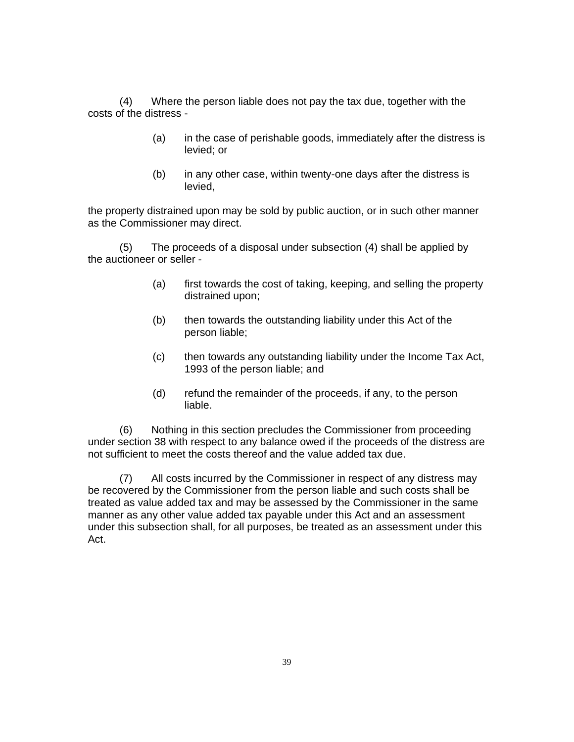(4) Where the person liable does not pay the tax due, together with the costs of the distress -

- (a) in the case of perishable goods, immediately after the distress is levied; or
- (b) in any other case, within twenty-one days after the distress is levied,

the property distrained upon may be sold by public auction, or in such other manner as the Commissioner may direct.

(5) The proceeds of a disposal under subsection (4) shall be applied by the auctioneer or seller -

- (a) first towards the cost of taking, keeping, and selling the property distrained upon;
- (b) then towards the outstanding liability under this Act of the person liable;
- (c) then towards any outstanding liability under the Income Tax Act, 1993 of the person liable; and
- (d) refund the remainder of the proceeds, if any, to the person liable.

(6) Nothing in this section precludes the Commissioner from proceeding under section 38 with respect to any balance owed if the proceeds of the distress are not sufficient to meet the costs thereof and the value added tax due.

(7) All costs incurred by the Commissioner in respect of any distress may be recovered by the Commissioner from the person liable and such costs shall be treated as value added tax and may be assessed by the Commissioner in the same manner as any other value added tax payable under this Act and an assessment under this subsection shall, for all purposes, be treated as an assessment under this Act.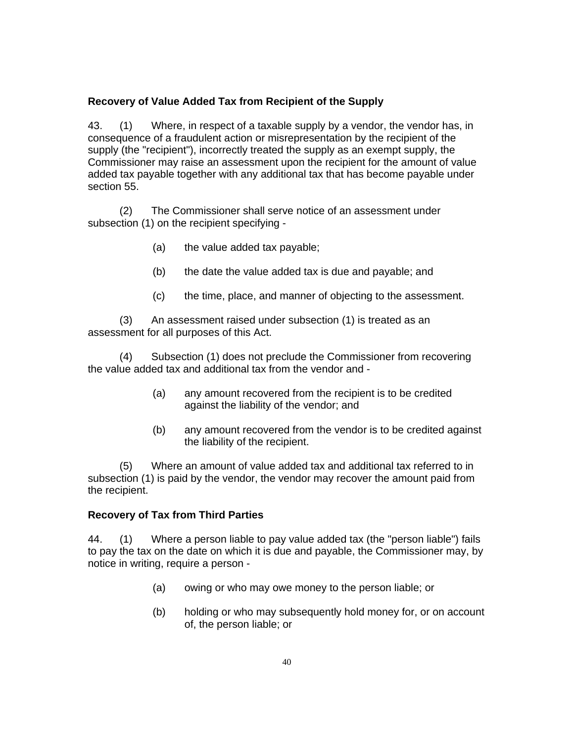#### **Recovery of Value Added Tax from Recipient of the Supply**

43. (1) Where, in respect of a taxable supply by a vendor, the vendor has, in consequence of a fraudulent action or misrepresentation by the recipient of the supply (the "recipient"), incorrectly treated the supply as an exempt supply, the Commissioner may raise an assessment upon the recipient for the amount of value added tax payable together with any additional tax that has become payable under section 55.

(2) The Commissioner shall serve notice of an assessment under subsection (1) on the recipient specifying -

- (a) the value added tax payable;
- (b) the date the value added tax is due and payable; and
- (c) the time, place, and manner of objecting to the assessment.

(3) An assessment raised under subsection (1) is treated as an assessment for all purposes of this Act.

(4) Subsection (1) does not preclude the Commissioner from recovering the value added tax and additional tax from the vendor and -

- (a) any amount recovered from the recipient is to be credited against the liability of the vendor; and
- (b) any amount recovered from the vendor is to be credited against the liability of the recipient.

(5) Where an amount of value added tax and additional tax referred to in subsection (1) is paid by the vendor, the vendor may recover the amount paid from the recipient.

#### **Recovery of Tax from Third Parties**

44. (1) Where a person liable to pay value added tax (the "person liable") fails to pay the tax on the date on which it is due and payable, the Commissioner may, by notice in writing, require a person -

- (a) owing or who may owe money to the person liable; or
- (b) holding or who may subsequently hold money for, or on account of, the person liable; or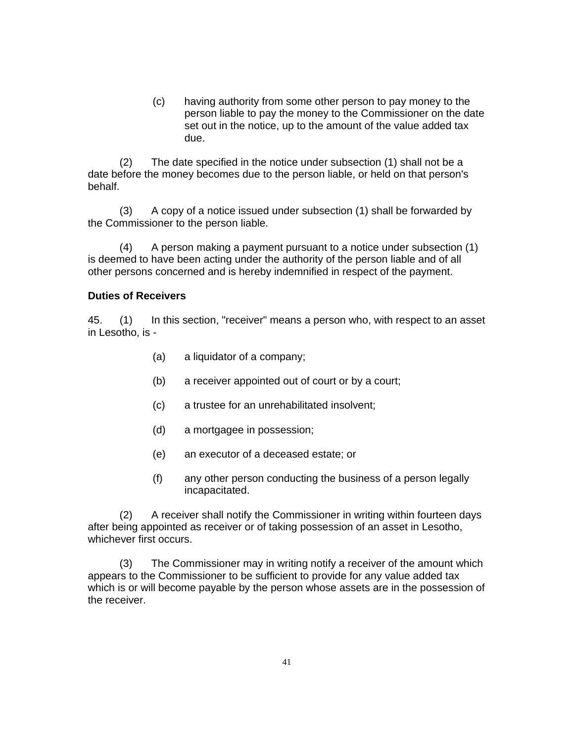(c) having authority from some other person to pay money to the person liable to pay the money to the Commissioner on the date set out in the notice, up to the amount of the value added tax due.

(2) The date specified in the notice under subsection (1) shall not be a date before the money becomes due to the person liable, or held on that person's behalf.

(3) A copy of a notice issued under subsection (1) shall be forwarded by the Commissioner to the person liable.

(4) A person making a payment pursuant to a notice under subsection (1) is deemed to have been acting under the authority of the person liable and of all other persons concerned and is hereby indemnified in respect of the payment.

#### **Duties of Receivers**

45. (1) In this section, "receiver" means a person who, with respect to an asset in Lesotho, is -

- (a) a liquidator of a company;
- (b) a receiver appointed out of court or by a court;
- (c) a trustee for an unrehabilitated insolvent;
- (d) a mortgagee in possession;
- (e) an executor of a deceased estate; or
- (f) any other person conducting the business of a person legally incapacitated.

(2) A receiver shall notify the Commissioner in writing within fourteen days after being appointed as receiver or of taking possession of an asset in Lesotho, whichever first occurs.

(3) The Commissioner may in writing notify a receiver of the amount which appears to the Commissioner to be sufficient to provide for any value added tax which is or will become payable by the person whose assets are in the possession of the receiver.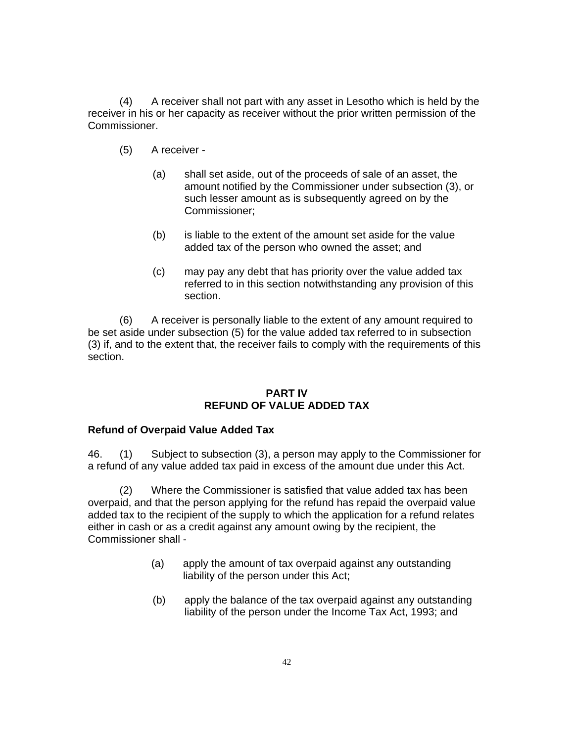(4) A receiver shall not part with any asset in Lesotho which is held by the receiver in his or her capacity as receiver without the prior written permission of the Commissioner.

- (5) A receiver
	- (a) shall set aside, out of the proceeds of sale of an asset, the amount notified by the Commissioner under subsection (3), or such lesser amount as is subsequently agreed on by the Commissioner;
	- (b) is liable to the extent of the amount set aside for the value added tax of the person who owned the asset; and
	- (c) may pay any debt that has priority over the value added tax referred to in this section notwithstanding any provision of this section.

(6) A receiver is personally liable to the extent of any amount required to be set aside under subsection (5) for the value added tax referred to in subsection (3) if, and to the extent that, the receiver fails to comply with the requirements of this section.

#### **PART IV REFUND OF VALUE ADDED TAX**

### **Refund of Overpaid Value Added Tax**

46. (1) Subject to subsection (3), a person may apply to the Commissioner for a refund of any value added tax paid in excess of the amount due under this Act.

(2) Where the Commissioner is satisfied that value added tax has been overpaid, and that the person applying for the refund has repaid the overpaid value added tax to the recipient of the supply to which the application for a refund relates either in cash or as a credit against any amount owing by the recipient, the Commissioner shall -

- (a) apply the amount of tax overpaid against any outstanding liability of the person under this Act;
- (b) apply the balance of the tax overpaid against any outstanding liability of the person under the Income Tax Act, 1993; and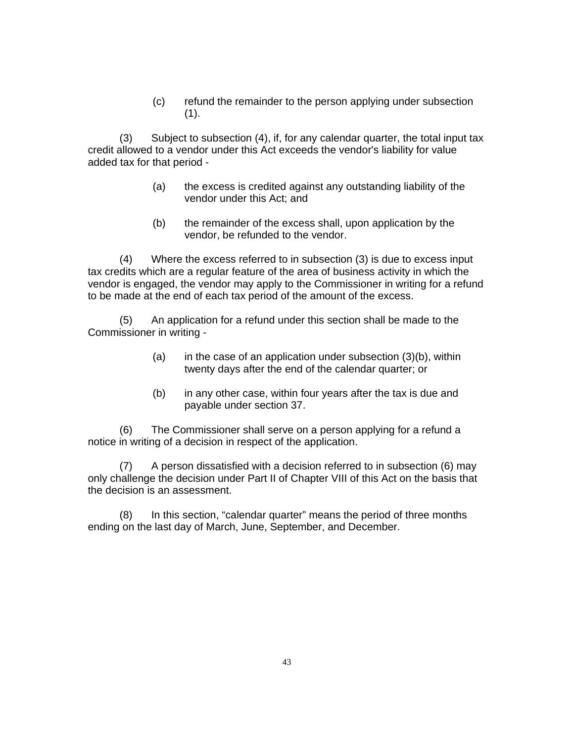(c) refund the remainder to the person applying under subsection  $(1).$ 

(3) Subject to subsection (4), if, for any calendar quarter, the total input tax credit allowed to a vendor under this Act exceeds the vendor's liability for value added tax for that period -

- (a) the excess is credited against any outstanding liability of the vendor under this Act; and
- (b) the remainder of the excess shall, upon application by the vendor, be refunded to the vendor.

(4) Where the excess referred to in subsection (3) is due to excess input tax credits which are a regular feature of the area of business activity in which the vendor is engaged, the vendor may apply to the Commissioner in writing for a refund to be made at the end of each tax period of the amount of the excess.

(5) An application for a refund under this section shall be made to the Commissioner in writing -

- (a) in the case of an application under subsection  $(3)(b)$ , within twenty days after the end of the calendar quarter; or
- (b) in any other case, within four years after the tax is due and payable under section 37.

(6) The Commissioner shall serve on a person applying for a refund a notice in writing of a decision in respect of the application.

(7) A person dissatisfied with a decision referred to in subsection (6) may only challenge the decision under Part II of Chapter VIII of this Act on the basis that the decision is an assessment.

(8) In this section, "calendar quarter" means the period of three months ending on the last day of March, June, September, and December.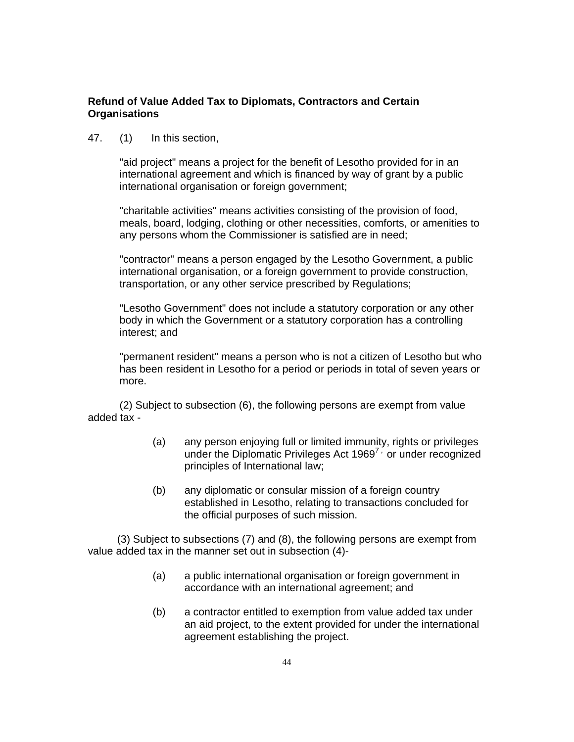#### **Refund of Value Added Tax to Diplomats, Contractors and Certain Organisations**

47. (1) In this section,

"aid project" means a project for the benefit of Lesotho provided for in an international agreement and which is financed by way of grant by a public international organisation or foreign government;

"charitable activities" means activities consisting of the provision of food, meals, board, lodging, clothing or other necessities, comforts, or amenities to any persons whom the Commissioner is satisfied are in need;

"contractor" means a person engaged by the Lesotho Government, a public international organisation, or a foreign government to provide construction, transportation, or any other service prescribed by Regulations;

"Lesotho Government" does not include a statutory corporation or any other body in which the Government or a statutory corporation has a controlling interest; and

"permanent resident" means a person who is not a citizen of Lesotho but who has been resident in Lesotho for a period or periods in total of seven years or more.

(2) Subject to subsection (6), the following persons are exempt from value added tax -

- (a) any person enjoying full or limited immunity, rights or privileges under the Diplomatic Privileges Act  $1969^7$ , or under recognized principles of International law;
- (b) any diplomatic or consular mission of a foreign country established in Lesotho, relating to transactions concluded for the official purposes of such mission.

 (3) Subject to subsections (7) and (8), the following persons are exempt from value added tax in the manner set out in subsection (4)-

- (a) a public international organisation or foreign government in accordance with an international agreement; and
- (b) a contractor entitled to exemption from value added tax under an aid project, to the extent provided for under the international agreement establishing the project.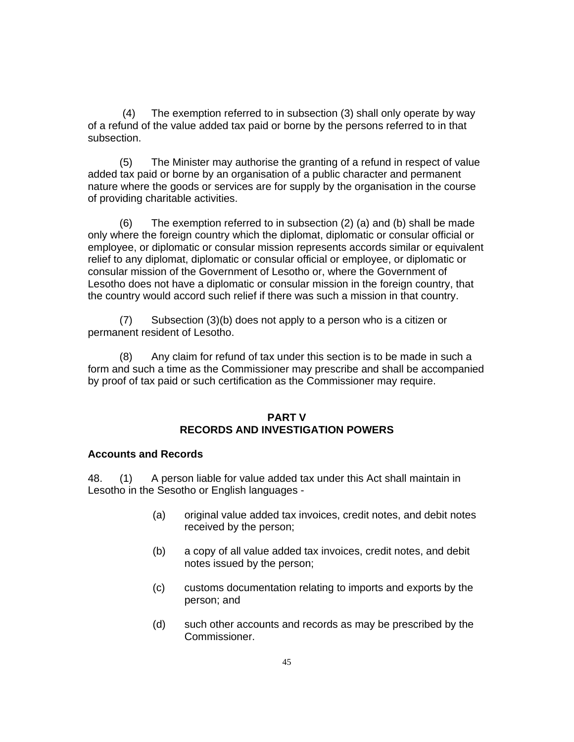(4) The exemption referred to in subsection (3) shall only operate by way of a refund of the value added tax paid or borne by the persons referred to in that subsection.

(5) The Minister may authorise the granting of a refund in respect of value added tax paid or borne by an organisation of a public character and permanent nature where the goods or services are for supply by the organisation in the course of providing charitable activities.

(6) The exemption referred to in subsection (2) (a) and (b) shall be made only where the foreign country which the diplomat, diplomatic or consular official or employee, or diplomatic or consular mission represents accords similar or equivalent relief to any diplomat, diplomatic or consular official or employee, or diplomatic or consular mission of the Government of Lesotho or, where the Government of Lesotho does not have a diplomatic or consular mission in the foreign country, that the country would accord such relief if there was such a mission in that country.

(7) Subsection (3)(b) does not apply to a person who is a citizen or permanent resident of Lesotho.

(8) Any claim for refund of tax under this section is to be made in such a form and such a time as the Commissioner may prescribe and shall be accompanied by proof of tax paid or such certification as the Commissioner may require.

#### **PART V RECORDS AND INVESTIGATION POWERS**

#### **Accounts and Records**

48. (1) A person liable for value added tax under this Act shall maintain in Lesotho in the Sesotho or English languages -

- (a) original value added tax invoices, credit notes, and debit notes received by the person;
- (b) a copy of all value added tax invoices, credit notes, and debit notes issued by the person;
- (c) customs documentation relating to imports and exports by the person; and
- (d) such other accounts and records as may be prescribed by the Commissioner.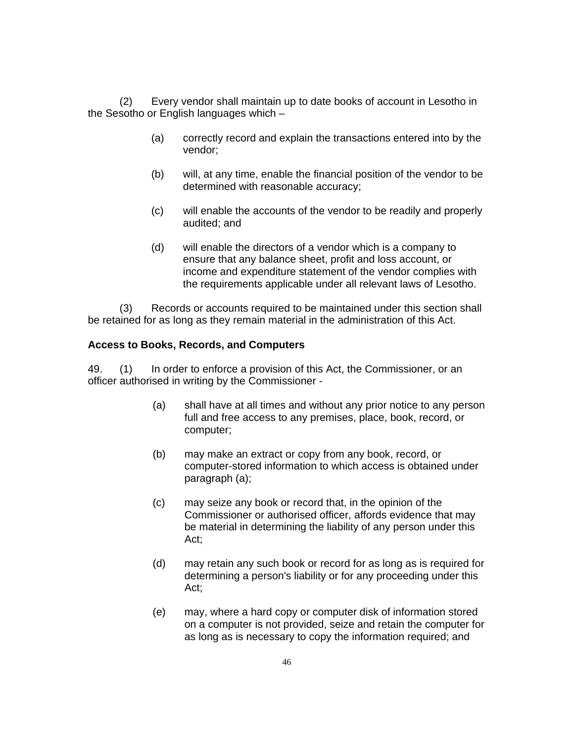(2) Every vendor shall maintain up to date books of account in Lesotho in the Sesotho or English languages which –

- (a) correctly record and explain the transactions entered into by the vendor;
- (b) will, at any time, enable the financial position of the vendor to be determined with reasonable accuracy;
- (c) will enable the accounts of the vendor to be readily and properly audited; and
- (d) will enable the directors of a vendor which is a company to ensure that any balance sheet, profit and loss account, or income and expenditure statement of the vendor complies with the requirements applicable under all relevant laws of Lesotho.

(3) Records or accounts required to be maintained under this section shall be retained for as long as they remain material in the administration of this Act.

#### **Access to Books, Records, and Computers**

49. (1) In order to enforce a provision of this Act, the Commissioner, or an officer authorised in writing by the Commissioner -

- (a) shall have at all times and without any prior notice to any person full and free access to any premises, place, book, record, or computer;
- (b) may make an extract or copy from any book, record, or computer-stored information to which access is obtained under paragraph (a);
- (c) may seize any book or record that, in the opinion of the Commissioner or authorised officer, affords evidence that may be material in determining the liability of any person under this Act;
- (d) may retain any such book or record for as long as is required for determining a person's liability or for any proceeding under this Act;
- (e) may, where a hard copy or computer disk of information stored on a computer is not provided, seize and retain the computer for as long as is necessary to copy the information required; and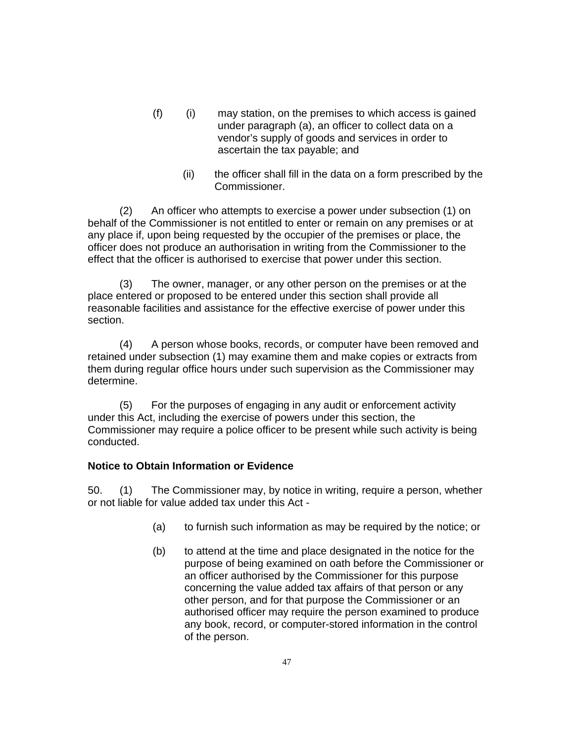- (f) (i) may station, on the premises to which access is gained under paragraph (a), an officer to collect data on a vendor's supply of goods and services in order to ascertain the tax payable; and
	- (ii) the officer shall fill in the data on a form prescribed by the Commissioner.

(2) An officer who attempts to exercise a power under subsection (1) on behalf of the Commissioner is not entitled to enter or remain on any premises or at any place if, upon being requested by the occupier of the premises or place, the officer does not produce an authorisation in writing from the Commissioner to the effect that the officer is authorised to exercise that power under this section.

(3) The owner, manager, or any other person on the premises or at the place entered or proposed to be entered under this section shall provide all reasonable facilities and assistance for the effective exercise of power under this section.

(4) A person whose books, records, or computer have been removed and retained under subsection (1) may examine them and make copies or extracts from them during regular office hours under such supervision as the Commissioner may determine.

(5) For the purposes of engaging in any audit or enforcement activity under this Act, including the exercise of powers under this section, the Commissioner may require a police officer to be present while such activity is being conducted.

### **Notice to Obtain Information or Evidence**

50. (1) The Commissioner may, by notice in writing, require a person, whether or not liable for value added tax under this Act -

- (a) to furnish such information as may be required by the notice; or
- (b) to attend at the time and place designated in the notice for the purpose of being examined on oath before the Commissioner or an officer authorised by the Commissioner for this purpose concerning the value added tax affairs of that person or any other person, and for that purpose the Commissioner or an authorised officer may require the person examined to produce any book, record, or computer-stored information in the control of the person.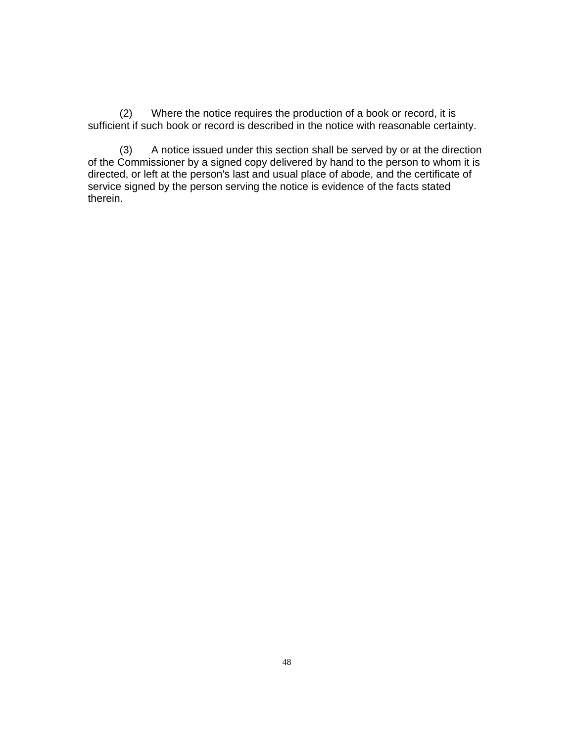(2) Where the notice requires the production of a book or record, it is sufficient if such book or record is described in the notice with reasonable certainty.

(3) A notice issued under this section shall be served by or at the direction of the Commissioner by a signed copy delivered by hand to the person to whom it is directed, or left at the person's last and usual place of abode, and the certificate of service signed by the person serving the notice is evidence of the facts stated therein.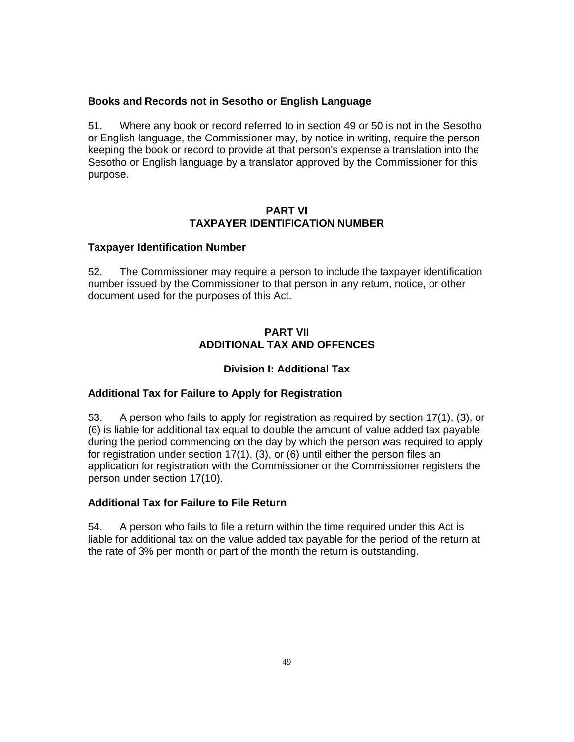#### **Books and Records not in Sesotho or English Language**

51. Where any book or record referred to in section 49 or 50 is not in the Sesotho or English language, the Commissioner may, by notice in writing, require the person keeping the book or record to provide at that person's expense a translation into the Sesotho or English language by a translator approved by the Commissioner for this purpose.

### **PART VI TAXPAYER IDENTIFICATION NUMBER**

#### **Taxpayer Identification Number**

52. The Commissioner may require a person to include the taxpayer identification number issued by the Commissioner to that person in any return, notice, or other document used for the purposes of this Act.

## **PART VII ADDITIONAL TAX AND OFFENCES**

### **Division I: Additional Tax**

### **Additional Tax for Failure to Apply for Registration**

53. A person who fails to apply for registration as required by section 17(1), (3), or (6) is liable for additional tax equal to double the amount of value added tax payable during the period commencing on the day by which the person was required to apply for registration under section 17(1), (3), or (6) until either the person files an application for registration with the Commissioner or the Commissioner registers the person under section 17(10).

### **Additional Tax for Failure to File Return**

54. A person who fails to file a return within the time required under this Act is liable for additional tax on the value added tax payable for the period of the return at the rate of 3% per month or part of the month the return is outstanding.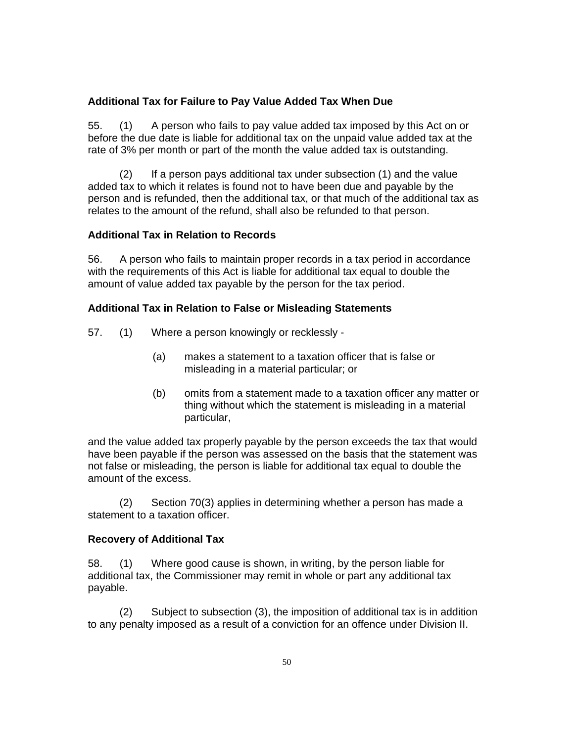#### **Additional Tax for Failure to Pay Value Added Tax When Due**

55. (1) A person who fails to pay value added tax imposed by this Act on or before the due date is liable for additional tax on the unpaid value added tax at the rate of 3% per month or part of the month the value added tax is outstanding.

(2) If a person pays additional tax under subsection (1) and the value added tax to which it relates is found not to have been due and payable by the person and is refunded, then the additional tax, or that much of the additional tax as relates to the amount of the refund, shall also be refunded to that person.

#### **Additional Tax in Relation to Records**

56. A person who fails to maintain proper records in a tax period in accordance with the requirements of this Act is liable for additional tax equal to double the amount of value added tax payable by the person for the tax period.

#### **Additional Tax in Relation to False or Misleading Statements**

- 57. (1) Where a person knowingly or recklessly
	- (a) makes a statement to a taxation officer that is false or misleading in a material particular; or
	- (b) omits from a statement made to a taxation officer any matter or thing without which the statement is misleading in a material particular,

and the value added tax properly payable by the person exceeds the tax that would have been payable if the person was assessed on the basis that the statement was not false or misleading, the person is liable for additional tax equal to double the amount of the excess.

(2) Section 70(3) applies in determining whether a person has made a statement to a taxation officer.

#### **Recovery of Additional Tax**

58. (1) Where good cause is shown, in writing, by the person liable for additional tax, the Commissioner may remit in whole or part any additional tax payable.

(2) Subject to subsection (3), the imposition of additional tax is in addition to any penalty imposed as a result of a conviction for an offence under Division II.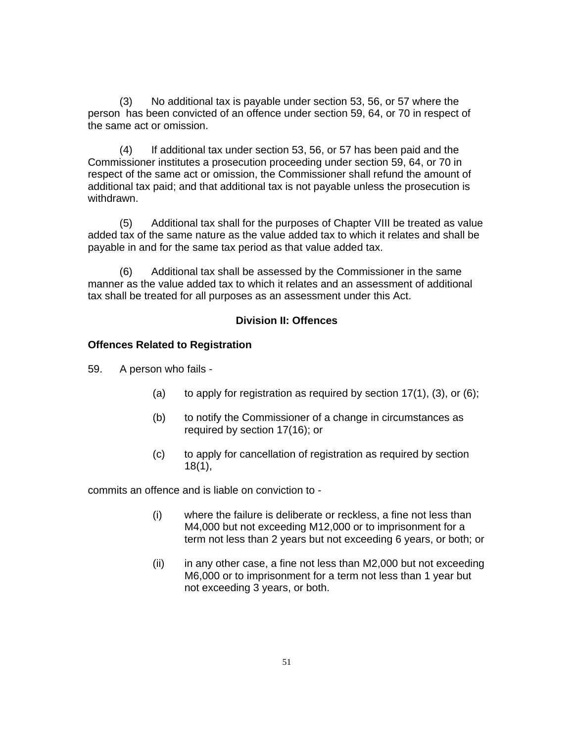(3) No additional tax is payable under section 53, 56, or 57 where the person has been convicted of an offence under section 59, 64, or 70 in respect of the same act or omission.

(4) If additional tax under section 53, 56, or 57 has been paid and the Commissioner institutes a prosecution proceeding under section 59, 64, or 70 in respect of the same act or omission, the Commissioner shall refund the amount of additional tax paid; and that additional tax is not payable unless the prosecution is withdrawn.

(5) Additional tax shall for the purposes of Chapter VIII be treated as value added tax of the same nature as the value added tax to which it relates and shall be payable in and for the same tax period as that value added tax.

(6) Additional tax shall be assessed by the Commissioner in the same manner as the value added tax to which it relates and an assessment of additional tax shall be treated for all purposes as an assessment under this Act.

### **Division II: Offences**

#### **Offences Related to Registration**

59. A person who fails -

- (a) to apply for registration as required by section  $17(1)$ ,  $(3)$ , or  $(6)$ ;
- (b) to notify the Commissioner of a change in circumstances as required by section 17(16); or
- (c) to apply for cancellation of registration as required by section 18(1),

commits an offence and is liable on conviction to -

- (i) where the failure is deliberate or reckless, a fine not less than M4,000 but not exceeding M12,000 or to imprisonment for a term not less than 2 years but not exceeding 6 years, or both; or
- (ii) in any other case, a fine not less than M2,000 but not exceeding M6,000 or to imprisonment for a term not less than 1 year but not exceeding 3 years, or both.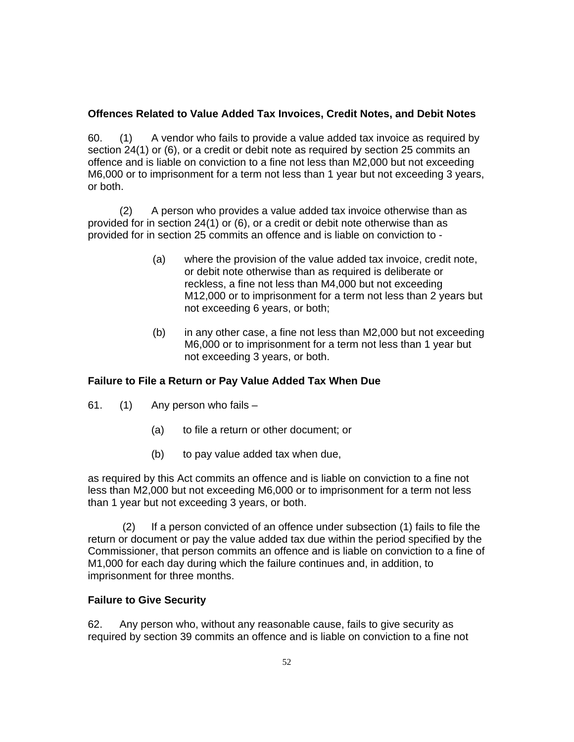# **Offences Related to Value Added Tax Invoices, Credit Notes, and Debit Notes**

60. (1) A vendor who fails to provide a value added tax invoice as required by section 24(1) or (6), or a credit or debit note as required by section 25 commits an offence and is liable on conviction to a fine not less than M2,000 but not exceeding M6,000 or to imprisonment for a term not less than 1 year but not exceeding 3 years, or both.

(2) A person who provides a value added tax invoice otherwise than as provided for in section 24(1) or (6), or a credit or debit note otherwise than as provided for in section 25 commits an offence and is liable on conviction to -

- (a) where the provision of the value added tax invoice, credit note, or debit note otherwise than as required is deliberate or reckless, a fine not less than M4,000 but not exceeding M12,000 or to imprisonment for a term not less than 2 years but not exceeding 6 years, or both;
- (b) in any other case, a fine not less than M2,000 but not exceeding M6,000 or to imprisonment for a term not less than 1 year but not exceeding 3 years, or both.

# **Failure to File a Return or Pay Value Added Tax When Due**

- 61. (1) Any person who fails
	- (a) to file a return or other document; or
	- (b) to pay value added tax when due,

as required by this Act commits an offence and is liable on conviction to a fine not less than M2,000 but not exceeding M6,000 or to imprisonment for a term not less than 1 year but not exceeding 3 years, or both.

 (2) If a person convicted of an offence under subsection (1) fails to file the return or document or pay the value added tax due within the period specified by the Commissioner, that person commits an offence and is liable on conviction to a fine of M1,000 for each day during which the failure continues and, in addition, to imprisonment for three months.

### **Failure to Give Security**

62. Any person who, without any reasonable cause, fails to give security as required by section 39 commits an offence and is liable on conviction to a fine not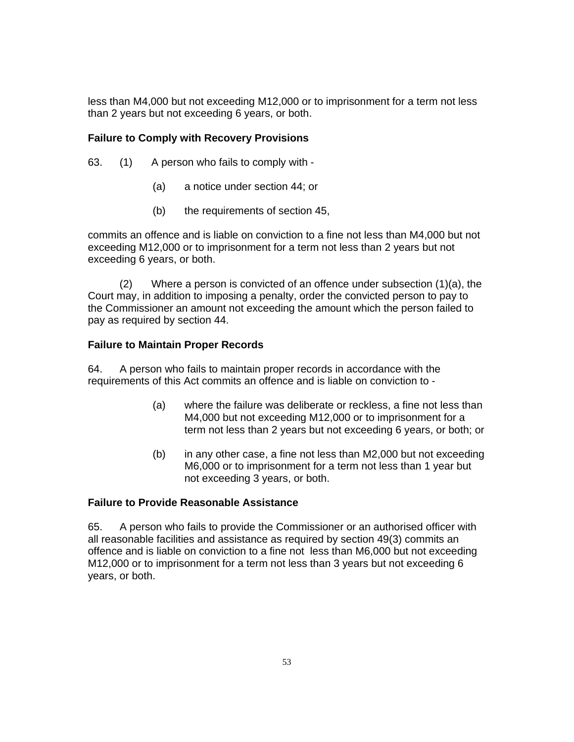less than M4,000 but not exceeding M12,000 or to imprisonment for a term not less than 2 years but not exceeding 6 years, or both.

## **Failure to Comply with Recovery Provisions**

- 63. (1) A person who fails to comply with
	- (a) a notice under section 44; or
	- (b) the requirements of section 45,

commits an offence and is liable on conviction to a fine not less than M4,000 but not exceeding M12,000 or to imprisonment for a term not less than 2 years but not exceeding 6 years, or both.

(2) Where a person is convicted of an offence under subsection (1)(a), the Court may, in addition to imposing a penalty, order the convicted person to pay to the Commissioner an amount not exceeding the amount which the person failed to pay as required by section 44.

### **Failure to Maintain Proper Records**

64. A person who fails to maintain proper records in accordance with the requirements of this Act commits an offence and is liable on conviction to -

- (a) where the failure was deliberate or reckless, a fine not less than M4,000 but not exceeding M12,000 or to imprisonment for a term not less than 2 years but not exceeding 6 years, or both; or
- (b) in any other case, a fine not less than M2,000 but not exceeding M6,000 or to imprisonment for a term not less than 1 year but not exceeding 3 years, or both.

### **Failure to Provide Reasonable Assistance**

65. A person who fails to provide the Commissioner or an authorised officer with all reasonable facilities and assistance as required by section 49(3) commits an offence and is liable on conviction to a fine not less than M6,000 but not exceeding M12,000 or to imprisonment for a term not less than 3 years but not exceeding 6 years, or both.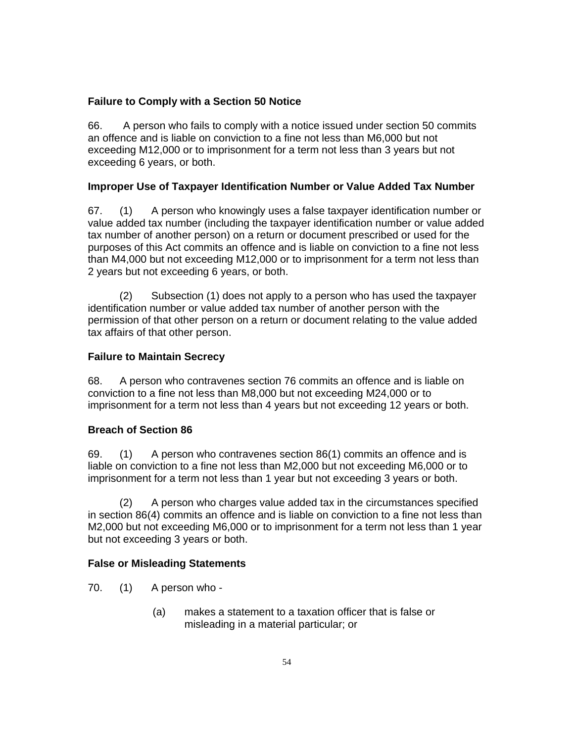### **Failure to Comply with a Section 50 Notice**

66. A person who fails to comply with a notice issued under section 50 commits an offence and is liable on conviction to a fine not less than M6,000 but not exceeding M12,000 or to imprisonment for a term not less than 3 years but not exceeding 6 years, or both.

### **Improper Use of Taxpayer Identification Number or Value Added Tax Number**

67. (1) A person who knowingly uses a false taxpayer identification number or value added tax number (including the taxpayer identification number or value added tax number of another person) on a return or document prescribed or used for the purposes of this Act commits an offence and is liable on conviction to a fine not less than M4,000 but not exceeding M12,000 or to imprisonment for a term not less than 2 years but not exceeding 6 years, or both.

(2) Subsection (1) does not apply to a person who has used the taxpayer identification number or value added tax number of another person with the permission of that other person on a return or document relating to the value added tax affairs of that other person.

# **Failure to Maintain Secrecy**

68. A person who contravenes section 76 commits an offence and is liable on conviction to a fine not less than M8,000 but not exceeding M24,000 or to imprisonment for a term not less than 4 years but not exceeding 12 years or both.

# **Breach of Section 86**

69. (1) A person who contravenes section 86(1) commits an offence and is liable on conviction to a fine not less than M2,000 but not exceeding M6,000 or to imprisonment for a term not less than 1 year but not exceeding 3 years or both.

(2) A person who charges value added tax in the circumstances specified in section 86(4) commits an offence and is liable on conviction to a fine not less than M2,000 but not exceeding M6,000 or to imprisonment for a term not less than 1 year but not exceeding 3 years or both.

### **False or Misleading Statements**

- 70. (1) A person who
	- (a) makes a statement to a taxation officer that is false or misleading in a material particular; or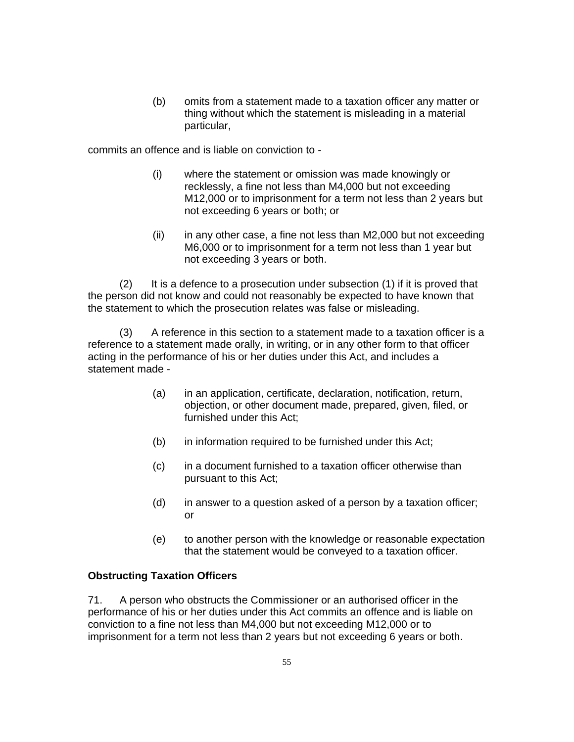(b) omits from a statement made to a taxation officer any matter or thing without which the statement is misleading in a material particular,

commits an offence and is liable on conviction to -

- (i) where the statement or omission was made knowingly or recklessly, a fine not less than M4,000 but not exceeding M12,000 or to imprisonment for a term not less than 2 years but not exceeding 6 years or both; or
- (ii) in any other case, a fine not less than M2,000 but not exceeding M6,000 or to imprisonment for a term not less than 1 year but not exceeding 3 years or both.

(2) It is a defence to a prosecution under subsection (1) if it is proved that the person did not know and could not reasonably be expected to have known that the statement to which the prosecution relates was false or misleading.

(3) A reference in this section to a statement made to a taxation officer is a reference to a statement made orally, in writing, or in any other form to that officer acting in the performance of his or her duties under this Act, and includes a statement made -

- (a) in an application, certificate, declaration, notification, return, objection, or other document made, prepared, given, filed, or furnished under this Act;
- (b) in information required to be furnished under this Act;
- (c) in a document furnished to a taxation officer otherwise than pursuant to this Act;
- (d) in answer to a question asked of a person by a taxation officer; or
- (e) to another person with the knowledge or reasonable expectation that the statement would be conveyed to a taxation officer.

### **Obstructing Taxation Officers**

71. A person who obstructs the Commissioner or an authorised officer in the performance of his or her duties under this Act commits an offence and is liable on conviction to a fine not less than M4,000 but not exceeding M12,000 or to imprisonment for a term not less than 2 years but not exceeding 6 years or both.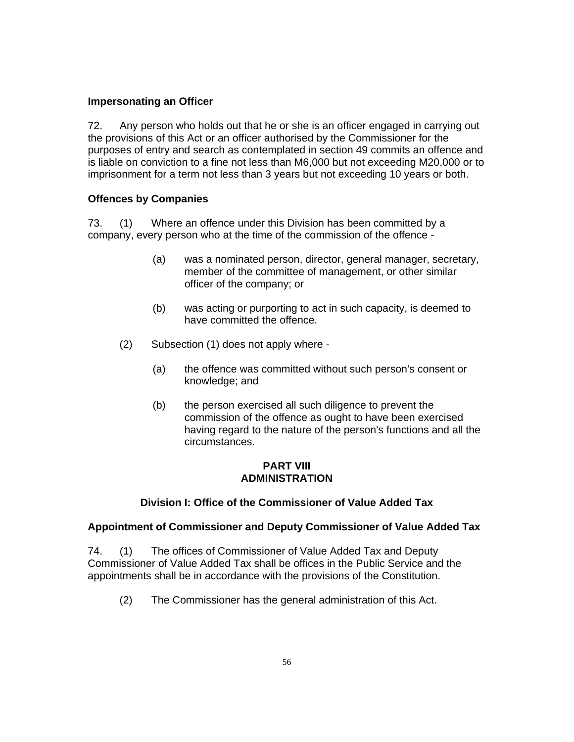### **Impersonating an Officer**

72. Any person who holds out that he or she is an officer engaged in carrying out the provisions of this Act or an officer authorised by the Commissioner for the purposes of entry and search as contemplated in section 49 commits an offence and is liable on conviction to a fine not less than M6,000 but not exceeding M20,000 or to imprisonment for a term not less than 3 years but not exceeding 10 years or both.

### **Offences by Companies**

73. (1) Where an offence under this Division has been committed by a company, every person who at the time of the commission of the offence -

- (a) was a nominated person, director, general manager, secretary, member of the committee of management, or other similar officer of the company; or
- (b) was acting or purporting to act in such capacity, is deemed to have committed the offence.
- (2) Subsection (1) does not apply where
	- (a) the offence was committed without such person's consent or knowledge; and
	- (b) the person exercised all such diligence to prevent the commission of the offence as ought to have been exercised having regard to the nature of the person's functions and all the circumstances.

#### **PART VIII ADMINISTRATION**

### **Division I: Office of the Commissioner of Value Added Tax**

#### **Appointment of Commissioner and Deputy Commissioner of Value Added Tax**

74. (1) The offices of Commissioner of Value Added Tax and Deputy Commissioner of Value Added Tax shall be offices in the Public Service and the appointments shall be in accordance with the provisions of the Constitution.

(2) The Commissioner has the general administration of this Act.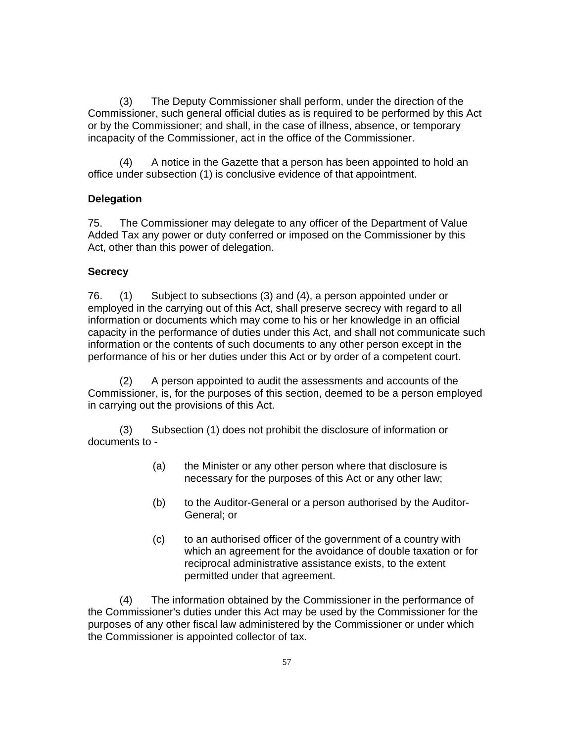(3) The Deputy Commissioner shall perform, under the direction of the Commissioner, such general official duties as is required to be performed by this Act or by the Commissioner; and shall, in the case of illness, absence, or temporary incapacity of the Commissioner, act in the office of the Commissioner.

(4) A notice in the Gazette that a person has been appointed to hold an office under subsection (1) is conclusive evidence of that appointment.

### **Delegation**

75. The Commissioner may delegate to any officer of the Department of Value Added Tax any power or duty conferred or imposed on the Commissioner by this Act, other than this power of delegation.

### **Secrecy**

76. (1) Subject to subsections (3) and (4), a person appointed under or employed in the carrying out of this Act, shall preserve secrecy with regard to all information or documents which may come to his or her knowledge in an official capacity in the performance of duties under this Act, and shall not communicate such information or the contents of such documents to any other person except in the performance of his or her duties under this Act or by order of a competent court.

(2) A person appointed to audit the assessments and accounts of the Commissioner, is, for the purposes of this section, deemed to be a person employed in carrying out the provisions of this Act.

(3) Subsection (1) does not prohibit the disclosure of information or documents to -

- (a) the Minister or any other person where that disclosure is necessary for the purposes of this Act or any other law;
- (b) to the Auditor-General or a person authorised by the Auditor-General; or
- (c) to an authorised officer of the government of a country with which an agreement for the avoidance of double taxation or for reciprocal administrative assistance exists, to the extent permitted under that agreement.

(4) The information obtained by the Commissioner in the performance of the Commissioner's duties under this Act may be used by the Commissioner for the purposes of any other fiscal law administered by the Commissioner or under which the Commissioner is appointed collector of tax.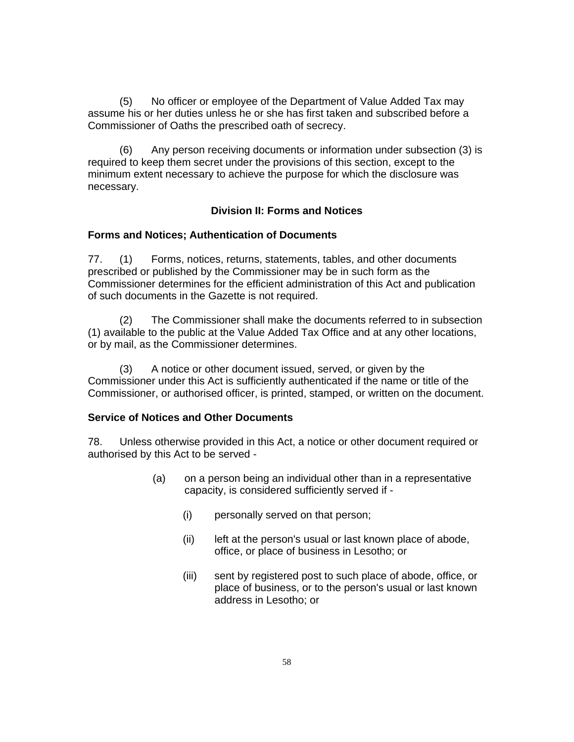(5) No officer or employee of the Department of Value Added Tax may assume his or her duties unless he or she has first taken and subscribed before a Commissioner of Oaths the prescribed oath of secrecy.

(6) Any person receiving documents or information under subsection (3) is required to keep them secret under the provisions of this section, except to the minimum extent necessary to achieve the purpose for which the disclosure was necessary.

#### **Division II: Forms and Notices**

#### **Forms and Notices; Authentication of Documents**

77. (1) Forms, notices, returns, statements, tables, and other documents prescribed or published by the Commissioner may be in such form as the Commissioner determines for the efficient administration of this Act and publication of such documents in the Gazette is not required.

(2) The Commissioner shall make the documents referred to in subsection (1) available to the public at the Value Added Tax Office and at any other locations, or by mail, as the Commissioner determines.

(3) A notice or other document issued, served, or given by the Commissioner under this Act is sufficiently authenticated if the name or title of the Commissioner, or authorised officer, is printed, stamped, or written on the document.

### **Service of Notices and Other Documents**

78. Unless otherwise provided in this Act, a notice or other document required or authorised by this Act to be served -

- (a) on a person being an individual other than in a representative capacity, is considered sufficiently served if -
	- (i) personally served on that person;
	- (ii) left at the person's usual or last known place of abode, office, or place of business in Lesotho; or
	- (iii) sent by registered post to such place of abode, office, or place of business, or to the person's usual or last known address in Lesotho; or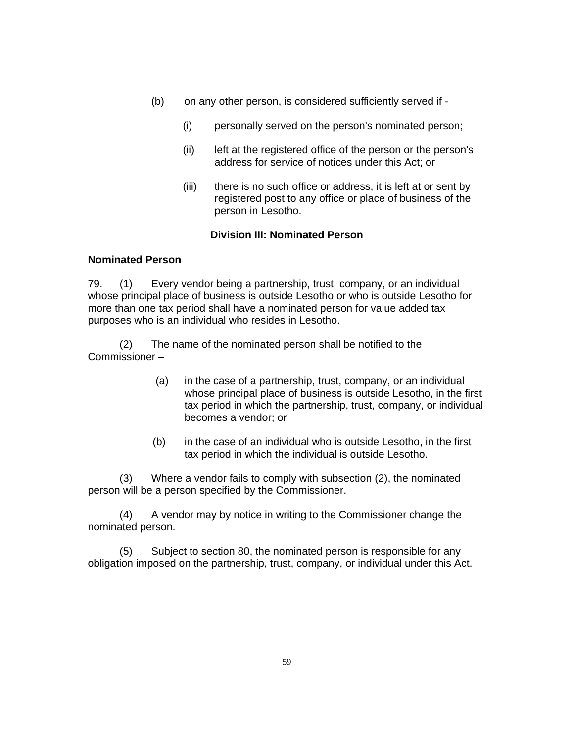- (b) on any other person, is considered sufficiently served if
	- (i) personally served on the person's nominated person;
	- (ii) left at the registered office of the person or the person's address for service of notices under this Act; or
	- (iii) there is no such office or address, it is left at or sent by registered post to any office or place of business of the person in Lesotho.

#### **Division III: Nominated Person**

#### **Nominated Person**

79. (1) Every vendor being a partnership, trust, company, or an individual whose principal place of business is outside Lesotho or who is outside Lesotho for more than one tax period shall have a nominated person for value added tax purposes who is an individual who resides in Lesotho.

(2) The name of the nominated person shall be notified to the Commissioner –

- (a) in the case of a partnership, trust, company, or an individual whose principal place of business is outside Lesotho, in the first tax period in which the partnership, trust, company, or individual becomes a vendor; or
- (b) in the case of an individual who is outside Lesotho, in the first tax period in which the individual is outside Lesotho.

(3) Where a vendor fails to comply with subsection (2), the nominated person will be a person specified by the Commissioner.

(4) A vendor may by notice in writing to the Commissioner change the nominated person.

(5) Subject to section 80, the nominated person is responsible for any obligation imposed on the partnership, trust, company, or individual under this Act.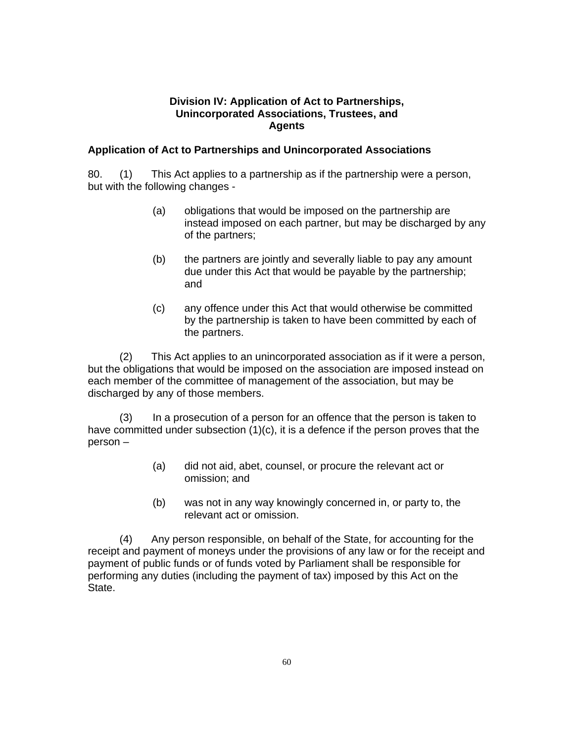#### **Division IV: Application of Act to Partnerships, Unincorporated Associations, Trustees, and Agents**

### **Application of Act to Partnerships and Unincorporated Associations**

80. (1) This Act applies to a partnership as if the partnership were a person, but with the following changes -

- (a) obligations that would be imposed on the partnership are instead imposed on each partner, but may be discharged by any of the partners;
- (b) the partners are jointly and severally liable to pay any amount due under this Act that would be payable by the partnership; and
- (c) any offence under this Act that would otherwise be committed by the partnership is taken to have been committed by each of the partners.

(2) This Act applies to an unincorporated association as if it were a person, but the obligations that would be imposed on the association are imposed instead on each member of the committee of management of the association, but may be discharged by any of those members.

(3) In a prosecution of a person for an offence that the person is taken to have committed under subsection  $(1)(c)$ , it is a defence if the person proves that the person –

- (a) did not aid, abet, counsel, or procure the relevant act or omission; and
- (b) was not in any way knowingly concerned in, or party to, the relevant act or omission.

 (4) Any person responsible, on behalf of the State, for accounting for the receipt and payment of moneys under the provisions of any law or for the receipt and payment of public funds or of funds voted by Parliament shall be responsible for performing any duties (including the payment of tax) imposed by this Act on the State.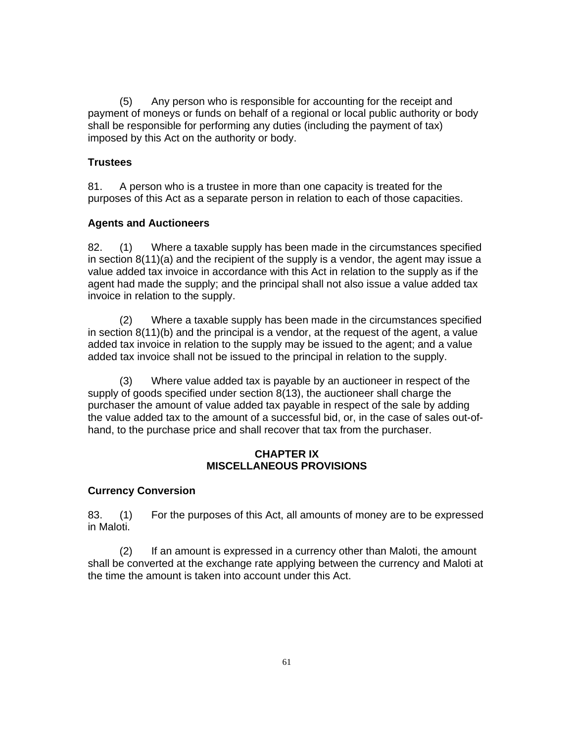(5) Any person who is responsible for accounting for the receipt and payment of moneys or funds on behalf of a regional or local public authority or body shall be responsible for performing any duties (including the payment of tax) imposed by this Act on the authority or body.

### **Trustees**

81. A person who is a trustee in more than one capacity is treated for the purposes of this Act as a separate person in relation to each of those capacities.

#### **Agents and Auctioneers**

82. (1) Where a taxable supply has been made in the circumstances specified in section 8(11)(a) and the recipient of the supply is a vendor, the agent may issue a value added tax invoice in accordance with this Act in relation to the supply as if the agent had made the supply; and the principal shall not also issue a value added tax invoice in relation to the supply.

(2) Where a taxable supply has been made in the circumstances specified in section 8(11)(b) and the principal is a vendor, at the request of the agent, a value added tax invoice in relation to the supply may be issued to the agent; and a value added tax invoice shall not be issued to the principal in relation to the supply.

(3) Where value added tax is payable by an auctioneer in respect of the supply of goods specified under section 8(13), the auctioneer shall charge the purchaser the amount of value added tax payable in respect of the sale by adding the value added tax to the amount of a successful bid, or, in the case of sales out-ofhand, to the purchase price and shall recover that tax from the purchaser.

### **CHAPTER IX MISCELLANEOUS PROVISIONS**

#### **Currency Conversion**

83. (1) For the purposes of this Act, all amounts of money are to be expressed in Maloti.

(2) If an amount is expressed in a currency other than Maloti, the amount shall be converted at the exchange rate applying between the currency and Maloti at the time the amount is taken into account under this Act.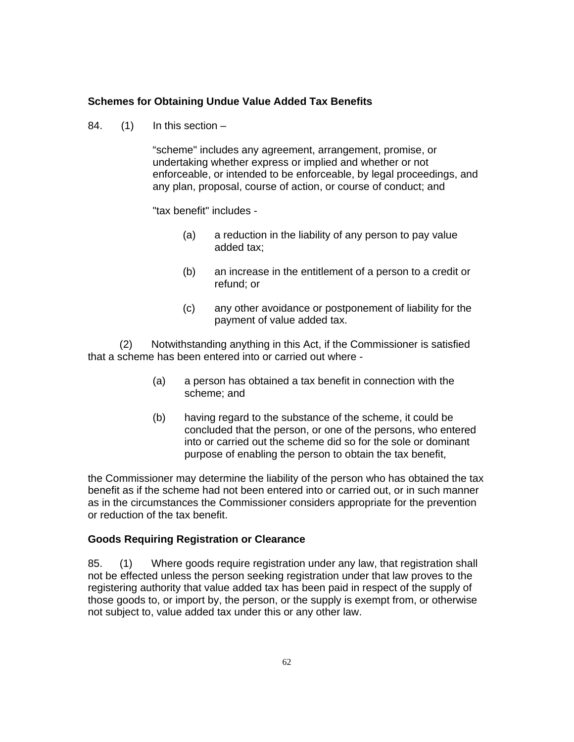#### **Schemes for Obtaining Undue Value Added Tax Benefits**

84.  $(1)$  In this section –

"scheme" includes any agreement, arrangement, promise, or undertaking whether express or implied and whether or not enforceable, or intended to be enforceable, by legal proceedings, and any plan, proposal, course of action, or course of conduct; and

"tax benefit" includes -

- (a) a reduction in the liability of any person to pay value added tax;
- (b) an increase in the entitlement of a person to a credit or refund; or
- (c) any other avoidance or postponement of liability for the payment of value added tax.

(2) Notwithstanding anything in this Act, if the Commissioner is satisfied that a scheme has been entered into or carried out where -

- (a) a person has obtained a tax benefit in connection with the scheme; and
- (b) having regard to the substance of the scheme, it could be concluded that the person, or one of the persons, who entered into or carried out the scheme did so for the sole or dominant purpose of enabling the person to obtain the tax benefit,

the Commissioner may determine the liability of the person who has obtained the tax benefit as if the scheme had not been entered into or carried out, or in such manner as in the circumstances the Commissioner considers appropriate for the prevention or reduction of the tax benefit.

#### **Goods Requiring Registration or Clearance**

85. (1) Where goods require registration under any law, that registration shall not be effected unless the person seeking registration under that law proves to the registering authority that value added tax has been paid in respect of the supply of those goods to, or import by, the person, or the supply is exempt from, or otherwise not subject to, value added tax under this or any other law.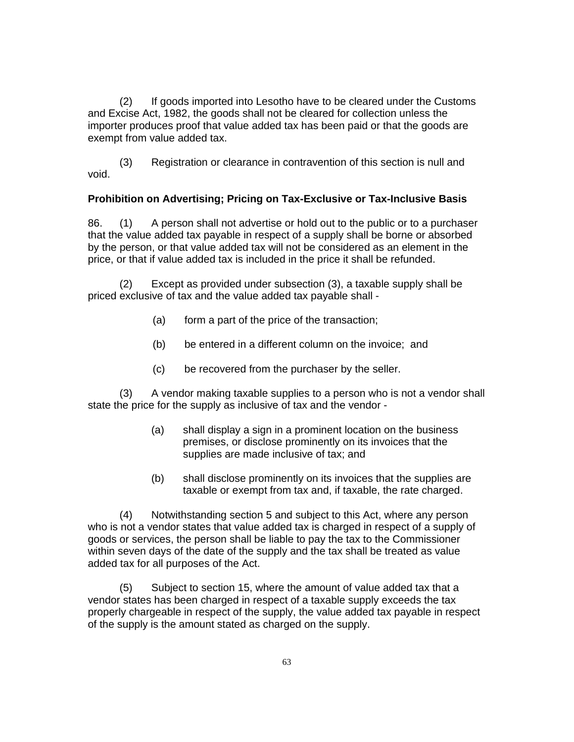(2) If goods imported into Lesotho have to be cleared under the Customs and Excise Act, 1982, the goods shall not be cleared for collection unless the importer produces proof that value added tax has been paid or that the goods are exempt from value added tax.

(3) Registration or clearance in contravention of this section is null and void.

#### **Prohibition on Advertising; Pricing on Tax-Exclusive or Tax-Inclusive Basis**

86. (1) A person shall not advertise or hold out to the public or to a purchaser that the value added tax payable in respect of a supply shall be borne or absorbed by the person, or that value added tax will not be considered as an element in the price, or that if value added tax is included in the price it shall be refunded.

(2) Except as provided under subsection (3), a taxable supply shall be priced exclusive of tax and the value added tax payable shall -

- (a) form a part of the price of the transaction;
- (b) be entered in a different column on the invoice; and
- (c) be recovered from the purchaser by the seller.

 (3) A vendor making taxable supplies to a person who is not a vendor shall state the price for the supply as inclusive of tax and the vendor -

- (a) shall display a sign in a prominent location on the business premises, or disclose prominently on its invoices that the supplies are made inclusive of tax; and
- (b) shall disclose prominently on its invoices that the supplies are taxable or exempt from tax and, if taxable, the rate charged.

(4) Notwithstanding section 5 and subject to this Act, where any person who is not a vendor states that value added tax is charged in respect of a supply of goods or services, the person shall be liable to pay the tax to the Commissioner within seven days of the date of the supply and the tax shall be treated as value added tax for all purposes of the Act.

(5) Subject to section 15, where the amount of value added tax that a vendor states has been charged in respect of a taxable supply exceeds the tax properly chargeable in respect of the supply, the value added tax payable in respect of the supply is the amount stated as charged on the supply.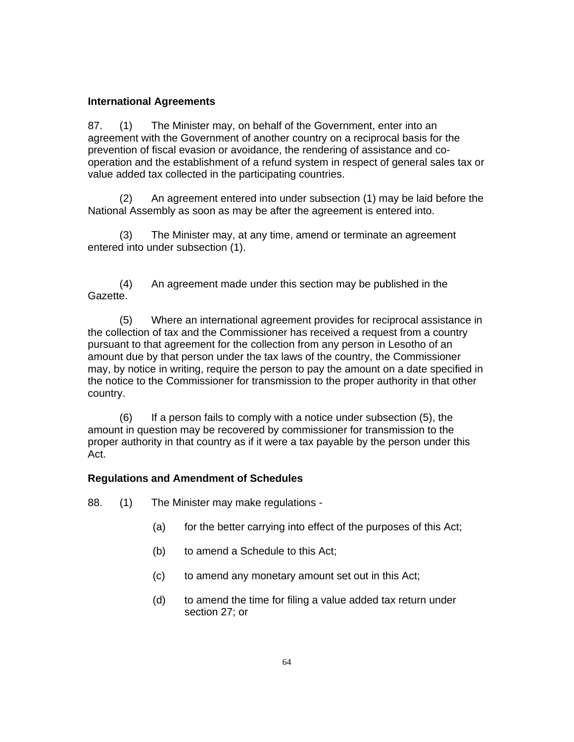#### **International Agreements**

87. (1) The Minister may, on behalf of the Government, enter into an agreement with the Government of another country on a reciprocal basis for the prevention of fiscal evasion or avoidance, the rendering of assistance and cooperation and the establishment of a refund system in respect of general sales tax or value added tax collected in the participating countries.

(2) An agreement entered into under subsection (1) may be laid before the National Assembly as soon as may be after the agreement is entered into.

(3) The Minister may, at any time, amend or terminate an agreement entered into under subsection (1).

(4) An agreement made under this section may be published in the Gazette.

(5) Where an international agreement provides for reciprocal assistance in the collection of tax and the Commissioner has received a request from a country pursuant to that agreement for the collection from any person in Lesotho of an amount due by that person under the tax laws of the country, the Commissioner may, by notice in writing, require the person to pay the amount on a date specified in the notice to the Commissioner for transmission to the proper authority in that other country.

(6) If a person fails to comply with a notice under subsection (5), the amount in question may be recovered by commissioner for transmission to the proper authority in that country as if it were a tax payable by the person under this Act.

#### **Regulations and Amendment of Schedules**

88. (1) The Minister may make regulations -

- (a) for the better carrying into effect of the purposes of this Act;
- (b) to amend a Schedule to this Act;
- (c) to amend any monetary amount set out in this Act;
- (d) to amend the time for filing a value added tax return under section 27; or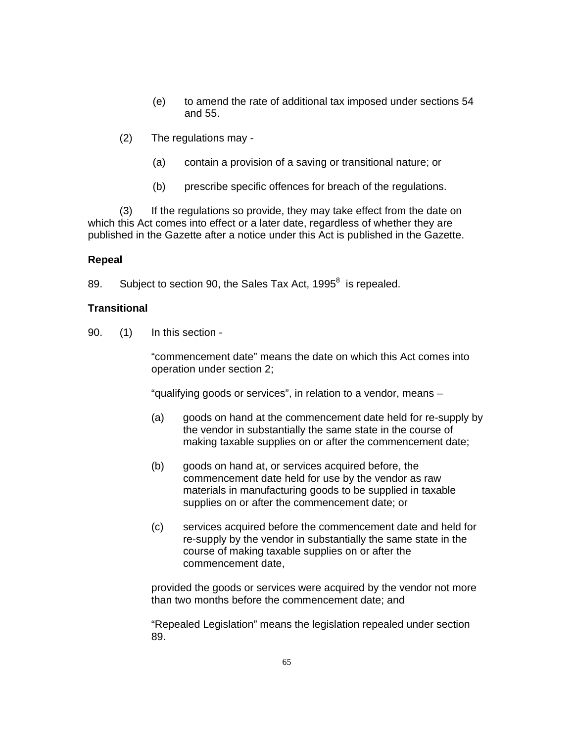- (e) to amend the rate of additional tax imposed under sections 54 and 55.
- (2) The regulations may
	- (a) contain a provision of a saving or transitional nature; or
	- (b) prescribe specific offences for breach of the regulations.

(3) If the regulations so provide, they may take effect from the date on which this Act comes into effect or a later date, regardless of whether they are published in the Gazette after a notice under this Act is published in the Gazette.

#### **Repeal**

89. Subject to section 90, the Sales Tax Act, 1995 $^8$  is repealed.

#### **Transitional**

90. (1) In this section -

"commencement date" means the date on which this Act comes into operation under section 2;

"qualifying goods or services", in relation to a vendor, means –

- (a) goods on hand at the commencement date held for re-supply by the vendor in substantially the same state in the course of making taxable supplies on or after the commencement date;
- (b) goods on hand at, or services acquired before, the commencement date held for use by the vendor as raw materials in manufacturing goods to be supplied in taxable supplies on or after the commencement date; or
- (c) services acquired before the commencement date and held for re-supply by the vendor in substantially the same state in the course of making taxable supplies on or after the commencement date,

provided the goods or services were acquired by the vendor not more than two months before the commencement date; and

"Repealed Legislation" means the legislation repealed under section 89.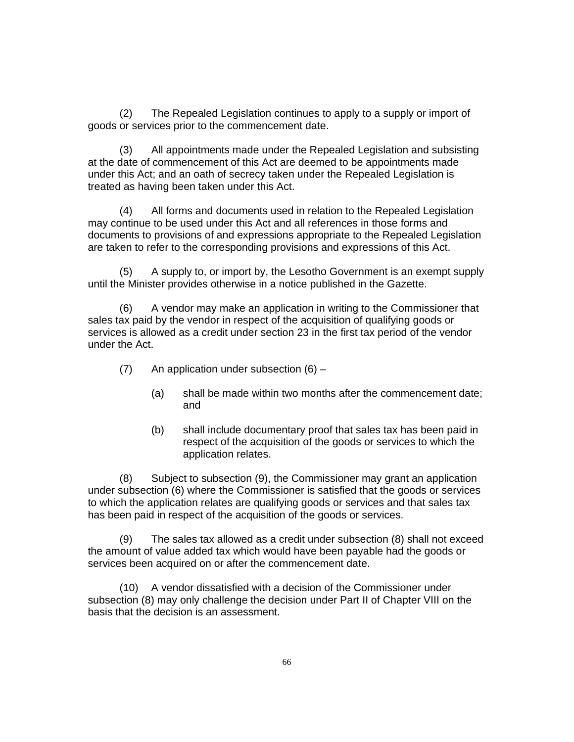(2) The Repealed Legislation continues to apply to a supply or import of goods or services prior to the commencement date.

(3) All appointments made under the Repealed Legislation and subsisting at the date of commencement of this Act are deemed to be appointments made under this Act; and an oath of secrecy taken under the Repealed Legislation is treated as having been taken under this Act.

(4) All forms and documents used in relation to the Repealed Legislation may continue to be used under this Act and all references in those forms and documents to provisions of and expressions appropriate to the Repealed Legislation are taken to refer to the corresponding provisions and expressions of this Act.

(5) A supply to, or import by, the Lesotho Government is an exempt supply until the Minister provides otherwise in a notice published in the Gazette.

 (6) A vendor may make an application in writing to the Commissioner that sales tax paid by the vendor in respect of the acquisition of qualifying goods or services is allowed as a credit under section 23 in the first tax period of the vendor under the Act.

- (7) An application under subsection (6)
	- (a) shall be made within two months after the commencement date; and
	- (b) shall include documentary proof that sales tax has been paid in respect of the acquisition of the goods or services to which the application relates.

 (8) Subject to subsection (9), the Commissioner may grant an application under subsection (6) where the Commissioner is satisfied that the goods or services to which the application relates are qualifying goods or services and that sales tax has been paid in respect of the acquisition of the goods or services.

 (9) The sales tax allowed as a credit under subsection (8) shall not exceed the amount of value added tax which would have been payable had the goods or services been acquired on or after the commencement date.

 (10) A vendor dissatisfied with a decision of the Commissioner under subsection (8) may only challenge the decision under Part II of Chapter VIII on the basis that the decision is an assessment.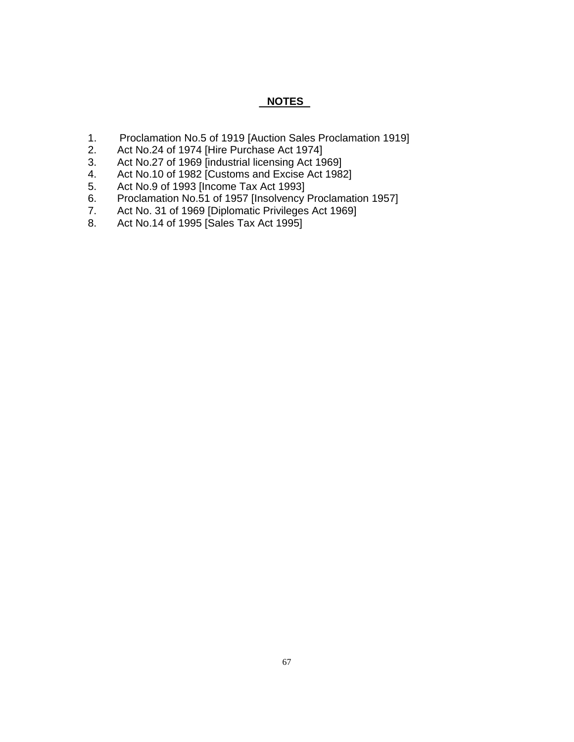### **NOTES**

- 1. Proclamation No.5 of 1919 [Auction Sales Proclamation 1919]<br>2. Act No.24 of 1974 [Hire Purchase Act 1974]
- Act No.24 of 1974 [Hire Purchase Act 1974]
- 3. Act No.27 of 1969 [industrial licensing Act 1969]
- 4. Act No.10 of 1982 [Customs and Excise Act 1982]
- 5. Act No.9 of 1993 [Income Tax Act 1993]
- 6. Proclamation No.51 of 1957 [Insolvency Proclamation 1957]
- 7. Act No. 31 of 1969 [Diplomatic Privileges Act 1969]
- 8. Act No.14 of 1995 [Sales Tax Act 1995]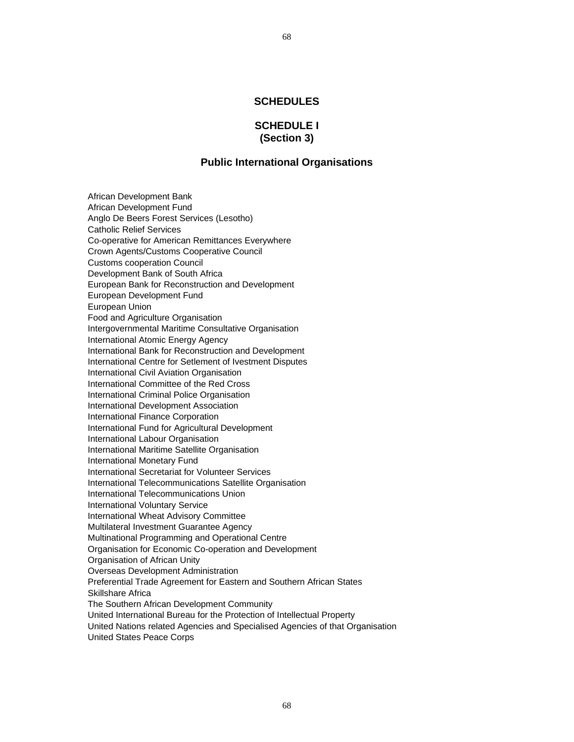#### **SCHEDULES**

#### **SCHEDULE I (Section 3)**

#### **Public International Organisations**

African Development Bank African Development Fund Anglo De Beers Forest Services (Lesotho) Catholic Relief Services Co-operative for American Remittances Everywhere Crown Agents/Customs Cooperative Council Customs cooperation Council Development Bank of South Africa European Bank for Reconstruction and Development European Development Fund European Union Food and Agriculture Organisation Intergovernmental Maritime Consultative Organisation International Atomic Energy Agency International Bank for Reconstruction and Development International Centre for Setlement of Ivestment Disputes International Civil Aviation Organisation International Committee of the Red Cross International Criminal Police Organisation International Development Association International Finance Corporation International Fund for Agricultural Development International Labour Organisation International Maritime Satellite Organisation International Monetary Fund International Secretariat for Volunteer Services International Telecommunications Satellite Organisation International Telecommunications Union International Voluntary Service International Wheat Advisory Committee Multilateral Investment Guarantee Agency Multinational Programming and Operational Centre Organisation for Economic Co-operation and Development Organisation of African Unity Overseas Development Administration Preferential Trade Agreement for Eastern and Southern African States Skillshare Africa The Southern African Development Community United International Bureau for the Protection of Intellectual Property United Nations related Agencies and Specialised Agencies of that Organisation United States Peace Corps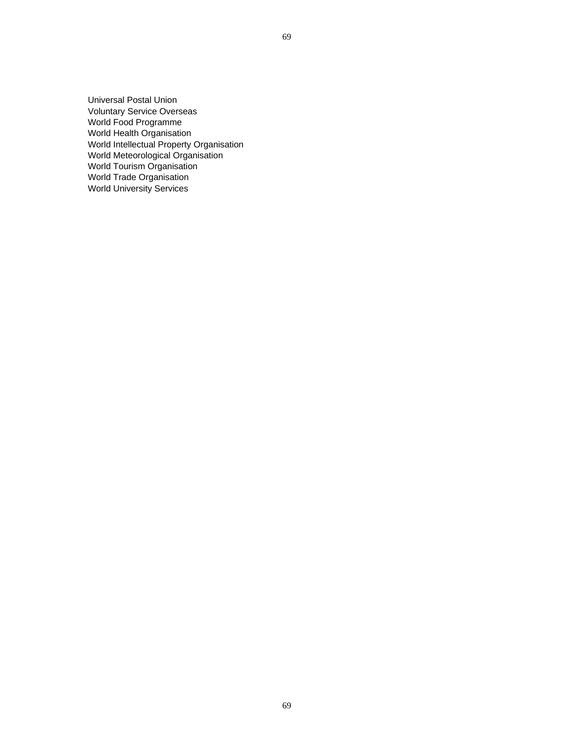Universal Postal Union Voluntary Service Overseas World Food Programme World Health Organisation World Intellectual Property Organisation World Meteorological Organisation World Tourism Organisation World Trade Organisation World University Services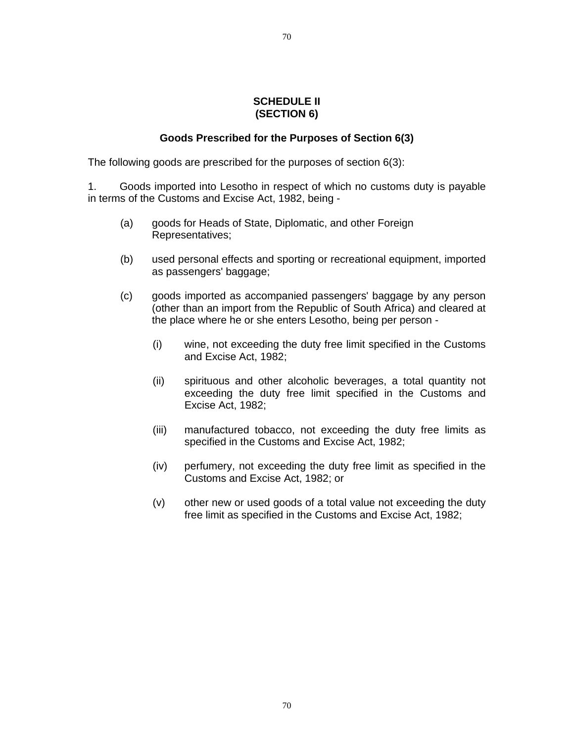#### **SCHEDULE II (SECTION 6)**

## **Goods Prescribed for the Purposes of Section 6(3)**

The following goods are prescribed for the purposes of section 6(3):

1. Goods imported into Lesotho in respect of which no customs duty is payable in terms of the Customs and Excise Act, 1982, being -

- (a) goods for Heads of State, Diplomatic, and other Foreign Representatives;
- (b) used personal effects and sporting or recreational equipment, imported as passengers' baggage;
- (c) goods imported as accompanied passengers' baggage by any person (other than an import from the Republic of South Africa) and cleared at the place where he or she enters Lesotho, being per person -
	- (i) wine, not exceeding the duty free limit specified in the Customs and Excise Act, 1982;
	- (ii) spirituous and other alcoholic beverages, a total quantity not exceeding the duty free limit specified in the Customs and Excise Act, 1982;
	- (iii) manufactured tobacco, not exceeding the duty free limits as specified in the Customs and Excise Act, 1982;
	- (iv) perfumery, not exceeding the duty free limit as specified in the Customs and Excise Act, 1982; or
	- (v) other new or used goods of a total value not exceeding the duty free limit as specified in the Customs and Excise Act, 1982;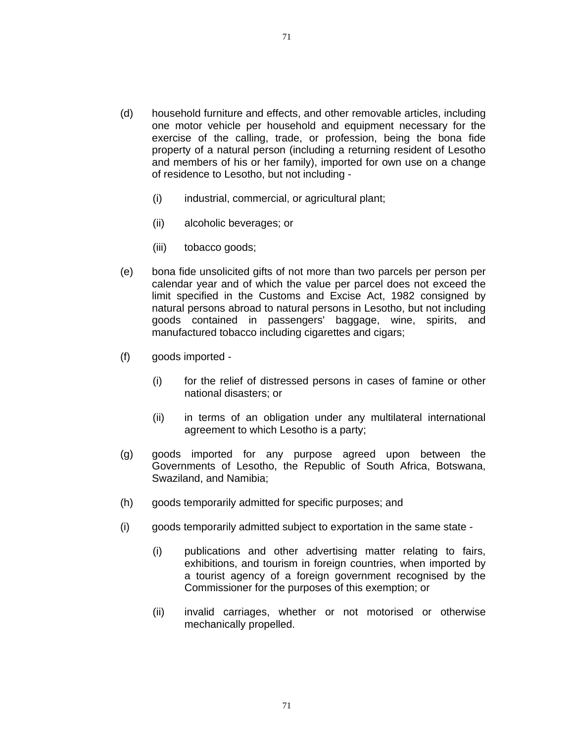- (d) household furniture and effects, and other removable articles, including one motor vehicle per household and equipment necessary for the exercise of the calling, trade, or profession, being the bona fide property of a natural person (including a returning resident of Lesotho and members of his or her family), imported for own use on a change of residence to Lesotho, but not including -
	- (i) industrial, commercial, or agricultural plant;
	- (ii) alcoholic beverages; or
	- (iii) tobacco goods;
- (e) bona fide unsolicited gifts of not more than two parcels per person per calendar year and of which the value per parcel does not exceed the limit specified in the Customs and Excise Act, 1982 consigned by natural persons abroad to natural persons in Lesotho, but not including goods contained in passengers' baggage, wine, spirits, and manufactured tobacco including cigarettes and cigars;
- (f) goods imported
	- (i) for the relief of distressed persons in cases of famine or other national disasters; or
	- (ii) in terms of an obligation under any multilateral international agreement to which Lesotho is a party;
- (g) goods imported for any purpose agreed upon between the Governments of Lesotho, the Republic of South Africa, Botswana, Swaziland, and Namibia;
- (h) goods temporarily admitted for specific purposes; and
- (i) goods temporarily admitted subject to exportation in the same state
	- (i) publications and other advertising matter relating to fairs, exhibitions, and tourism in foreign countries, when imported by a tourist agency of a foreign government recognised by the Commissioner for the purposes of this exemption; or
	- (ii) invalid carriages, whether or not motorised or otherwise mechanically propelled.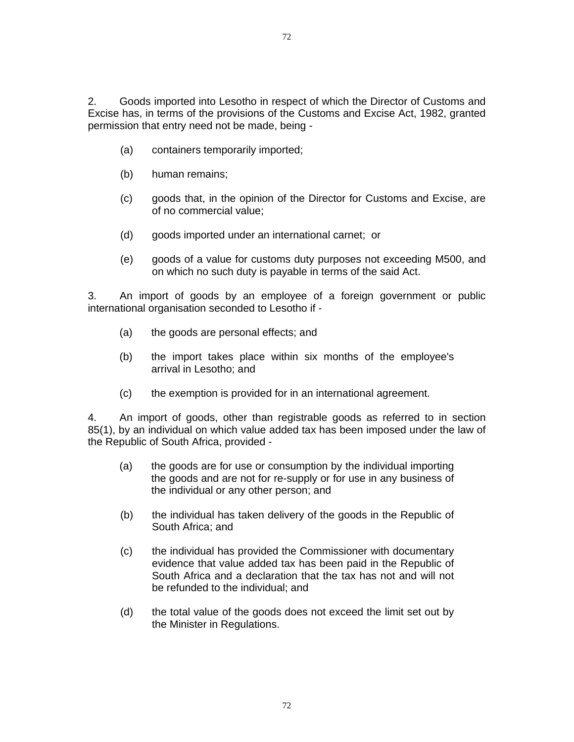2. Goods imported into Lesotho in respect of which the Director of Customs and Excise has, in terms of the provisions of the Customs and Excise Act, 1982, granted permission that entry need not be made, being -

- (a) containers temporarily imported;
- (b) human remains;
- (c) goods that, in the opinion of the Director for Customs and Excise, are of no commercial value;
- (d) goods imported under an international carnet; or
- (e) goods of a value for customs duty purposes not exceeding M500, and on which no such duty is payable in terms of the said Act.

3. An import of goods by an employee of a foreign government or public international organisation seconded to Lesotho if -

- (a) the goods are personal effects; and
- (b) the import takes place within six months of the employee's arrival in Lesotho; and
- (c) the exemption is provided for in an international agreement.

4. An import of goods, other than registrable goods as referred to in section 85(1), by an individual on which value added tax has been imposed under the law of the Republic of South Africa, provided -

- (a) the goods are for use or consumption by the individual importing the goods and are not for re-supply or for use in any business of the individual or any other person; and
- (b) the individual has taken delivery of the goods in the Republic of South Africa; and
- (c) the individual has provided the Commissioner with documentary evidence that value added tax has been paid in the Republic of South Africa and a declaration that the tax has not and will not be refunded to the individual; and
- (d) the total value of the goods does not exceed the limit set out by the Minister in Regulations.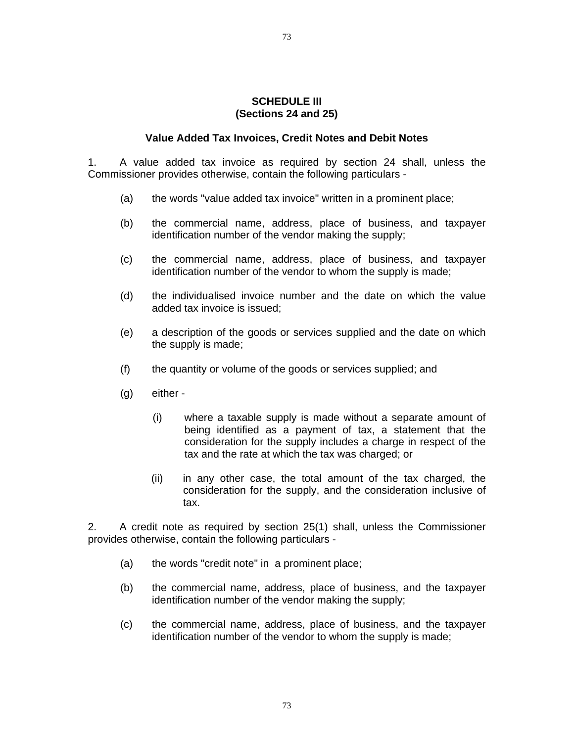## **SCHEDULE III (Sections 24 and 25)**

## **Value Added Tax Invoices, Credit Notes and Debit Notes**

1. A value added tax invoice as required by section 24 shall, unless the Commissioner provides otherwise, contain the following particulars -

- (a) the words "value added tax invoice" written in a prominent place;
- (b) the commercial name, address, place of business, and taxpayer identification number of the vendor making the supply;
- (c) the commercial name, address, place of business, and taxpayer identification number of the vendor to whom the supply is made;
- (d) the individualised invoice number and the date on which the value added tax invoice is issued;
- (e) a description of the goods or services supplied and the date on which the supply is made;
- (f) the quantity or volume of the goods or services supplied; and
- (g) either
	- (i) where a taxable supply is made without a separate amount of being identified as a payment of tax, a statement that the consideration for the supply includes a charge in respect of the tax and the rate at which the tax was charged; or
	- (ii) in any other case, the total amount of the tax charged, the consideration for the supply, and the consideration inclusive of tax.

2. A credit note as required by section 25(1) shall, unless the Commissioner provides otherwise, contain the following particulars -

- (a) the words "credit note" in a prominent place;
- (b) the commercial name, address, place of business, and the taxpayer identification number of the vendor making the supply;
- (c) the commercial name, address, place of business, and the taxpayer identification number of the vendor to whom the supply is made;